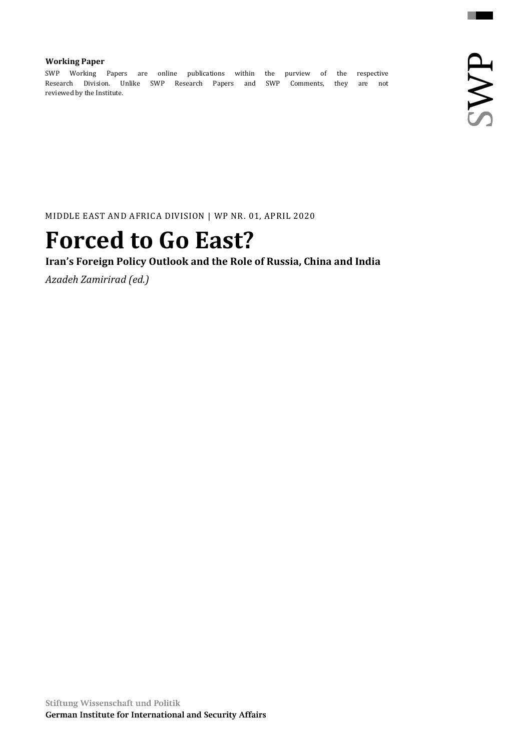### **Working Paper**

SWP Working Papers are online publications within the purview of the respective Research Division. Unlike SWP Research Papers and SWP Comments, they are not reviewed by the Institute.

MIDDLE EAST AND AFRICA DIVISION | WP NR. 01, APRIL 2020

# **Forced to Go East?**

## **Iran's Foreign Policy Outlook and the Role of Russia, China and India**

*Azadeh Zamirirad (ed.)*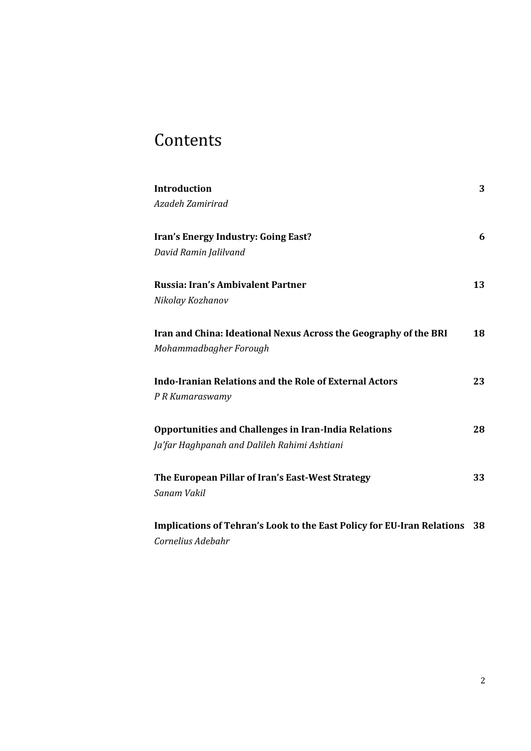## Contents

| <b>Introduction</b>                                                           | 3  |
|-------------------------------------------------------------------------------|----|
| Azadeh Zamirirad                                                              |    |
| Iran's Energy Industry: Going East?                                           | 6  |
| David Ramin Jalilvand                                                         |    |
|                                                                               |    |
| Russia: Iran's Ambivalent Partner                                             | 13 |
| Nikolay Kozhanov                                                              |    |
|                                                                               |    |
| Iran and China: Ideational Nexus Across the Geography of the BRI              | 18 |
| Mohammadbagher Forough                                                        |    |
| <b>Indo-Iranian Relations and the Role of External Actors</b>                 | 23 |
| P R Kumaraswamy                                                               |    |
|                                                                               |    |
| <b>Opportunities and Challenges in Iran-India Relations</b>                   | 28 |
| Ja'far Haghpanah and Dalileh Rahimi Ashtiani                                  |    |
| The European Pillar of Iran's East-West Strategy                              | 33 |
| Sanam Vakil                                                                   |    |
|                                                                               |    |
| <b>Implications of Tehran's Look to the East Policy for EU-Iran Relations</b> | 38 |

*Cornelius Adebahr*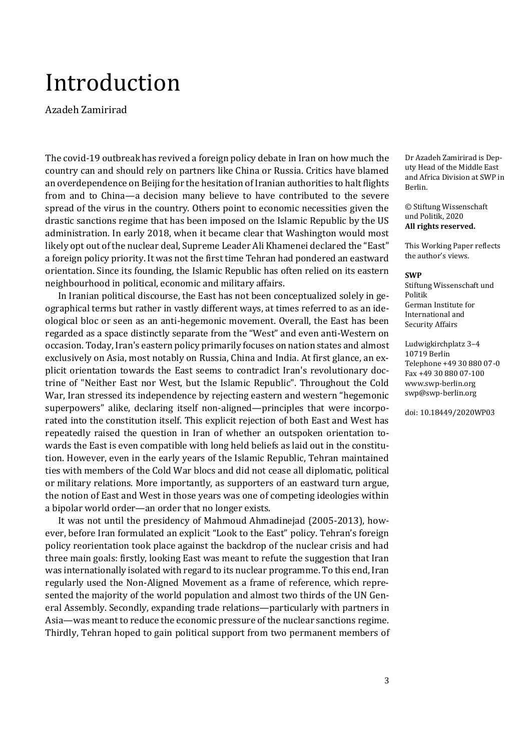# <span id="page-2-0"></span>Introduction

Azadeh Zamirirad

The covid-19 outbreak has revived a foreign policy debate in Iran on how much the country can and should rely on partners like China or Russia. Critics have blamed an overdependence on Beijing for the hesitation of Iranian authorities to halt flights from and to China—a decision many believe to have contributed to the severe spread of the virus in the country. Others point to economic necessities given the drastic sanctions regime that has been imposed on the Islamic Republic by the US administration. In early 2018, when it became clear that Washington would most likely opt out of the nuclear deal, Supreme Leader Ali Khamenei declared the "East" a foreign policy priority. It was not the first time Tehran had pondered an eastward orientation. Since its founding, the Islamic Republic has often relied on its eastern neighbourhood in political, economic and military affairs.

In Iranian political discourse, the East has not been conceptualized solely in geographical terms but rather in vastly different ways, at times referred to as an ideological bloc or seen as an anti-hegemonic movement. Overall, the East has been regarded as a space distinctly separate from the "West" and even anti-Western on occasion. Today, Iran's eastern policy primarily focuses on nation states and almost exclusively on Asia, most notably on Russia, China and India. At first glance, an explicit orientation towards the East seems to contradict Iran's revolutionary doctrine of "Neither East nor West, but the Islamic Republic". Throughout the Cold War, Iran stressed its independence by rejecting eastern and western "hegemonic superpowers" alike, declaring itself non-aligned—principles that were incorporated into the constitution itself. This explicit rejection of both East and West has repeatedly raised the question in Iran of whether an outspoken orientation towards the East is even compatible with long held beliefs as laid out in the constitution. However, even in the early years of the Islamic Republic, Tehran maintained ties with members of the Cold War blocs and did not cease all diplomatic, political or military relations. More importantly, as supporters of an eastward turn argue, the notion of East and West in those years was one of competing ideologies within a bipolar world order—an order that no longer exists.

It was not until the presidency of Mahmoud Ahmadinejad (2005-2013), however, before Iran formulated an explicit "Look to the East" policy. Tehran's foreign policy reorientation took place against the backdrop of the nuclear crisis and had three main goals: firstly, looking East was meant to refute the suggestion that Iran was internationally isolated with regard to its nuclear programme. To this end, Iran regularly used the Non-Aligned Movement as a frame of reference, which represented the majority of the world population and almost two thirds of the UN General Assembly. Secondly, expanding trade relations—particularly with partners in Asia—was meant to reduce the economic pressure of the nuclear sanctions regime. Thirdly, Tehran hoped to gain political support from two permanent members of

Dr Azadeh Zamirirad is Deputy Head of the Middle East and Africa Division at SWP in Berlin.

© Stiftung Wissenschaft und Politik, 2020 **All rights reserved.**

This Working Paper reflects the author's views.

#### **SWP**

Stiftung Wissenschaft und Politik German Institute for International and Security Affairs

Ludwigkirchplatz 3–4 10719 Berlin Telephone +49 30 880 07-0 Fax +49 30 880 07-100 [www.swp-berlin.org](http://www.swp-berlin.org/) [swp@swp-berlin.org](mailto:swp@swp-berlin.org)

doi: 10.18449/2020WP03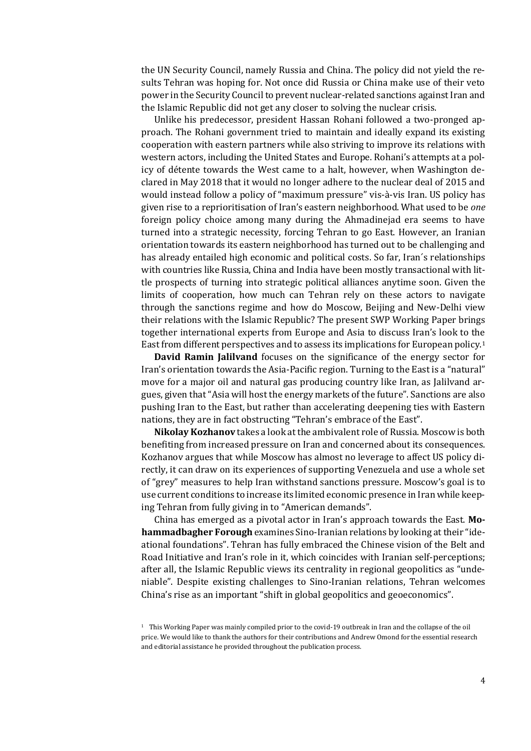the UN Security Council, namely Russia and China. The policy did not yield the results Tehran was hoping for. Not once did Russia or China make use of their veto power in the Security Council to prevent nuclear-related sanctions against Iran and the Islamic Republic did not get any closer to solving the nuclear crisis.

Unlike his predecessor, president Hassan Rohani followed a two-pronged approach. The Rohani government tried to maintain and ideally expand its existing cooperation with eastern partners while also striving to improve its relations with western actors, including the United States and Europe. Rohani's attempts at a policy of détente towards the West came to a halt, however, when Washington declared in May 2018 that it would no longer adhere to the nuclear deal of 2015 and would instead follow a policy of "maximum pressure" vis-à-vis Iran. US policy has given rise to a reprioritisation of Iran's eastern neighborhood. What used to be *one* foreign policy choice among many during the Ahmadinejad era seems to have turned into a strategic necessity, forcing Tehran to go East. However, an Iranian orientation towards its eastern neighborhood has turned out to be challenging and has already entailed high economic and political costs. So far, Iran´s relationships with countries like Russia, China and India have been mostly transactional with little prospects of turning into strategic political alliances anytime soon. Given the limits of cooperation, how much can Tehran rely on these actors to navigate through the sanctions regime and how do Moscow, Beijing and New-Delhi view their relations with the Islamic Republic? The present SWP Working Paper brings together international experts from Europe and Asia to discuss Iran's look to the East from different perspectives and to assess its implications for European policy.<sup>1</sup>

**David Ramin Jalilvand** focuses on the significance of the energy sector for Iran's orientation towards the Asia-Pacific region. Turning to the East is a "natural" move for a major oil and natural gas producing country like Iran, as Jalilvand argues, given that "Asia will host the energy markets of the future". Sanctions are also pushing Iran to the East, but rather than accelerating deepening ties with Eastern nations, they are in fact obstructing "Tehran's embrace of the East".

**Nikolay Kozhanov** takes a look at the ambivalent role of Russia. Moscow is both benefiting from increased pressure on Iran and concerned about its consequences. Kozhanov argues that while Moscow has almost no leverage to affect US policy directly, it can draw on its experiences of supporting Venezuela and use a whole set of "grey" measures to help Iran withstand sanctions pressure. Moscow's goal is to use current conditions to increase its limited economic presence in Iran while keeping Tehran from fully giving in to "American demands".

China has emerged as a pivotal actor in Iran's approach towards the East. **Mohammadbagher Forough** examines Sino-Iranian relations by looking at their "ideational foundations". Tehran has fully embraced the Chinese vision of the Belt and Road Initiative and Iran's role in it, which coincides with Iranian self-perceptions; after all, the Islamic Republic views its centrality in regional geopolitics as "undeniable". Despite existing challenges to Sino-Iranian relations, Tehran welcomes China's rise as an important "shift in global geopolitics and geoeconomics".

<sup>1</sup> This Working Paper was mainly compiled prior to the covid-19 outbreak in Iran and the collapse of the oil price. We would like to thank the authors for their contributions and Andrew Omond for the essential research and editorial assistance he provided throughout the publication process.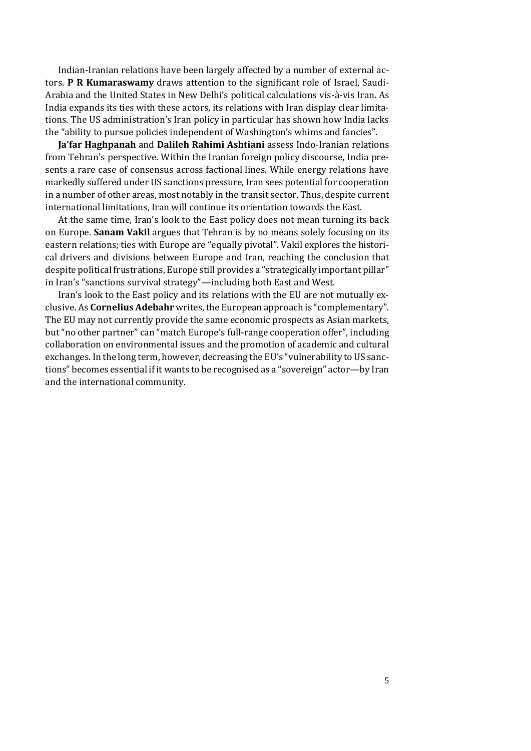Indian-Iranian relations have been largely affected by a number of external actors. **P R Kumaraswamy** draws attention to the significant role of Israel, Saudi-Arabia and the United States in New Delhi's political calculations vis-à-vis Iran. As India expands its ties with these actors, its relations with Iran display clear limitations. The US administration's Iran policy in particular has shown how India lacks the "ability to pursue policies independent of Washington's whims and fancies".

**Ja'far Haghpanah** and **Dalileh Rahimi Ashtiani** assess Indo-Iranian relations from Tehran's perspective. Within the Iranian foreign policy discourse, India presents a rare case of consensus across factional lines. While energy relations have markedly suffered under US sanctions pressure, Iran sees potential for cooperation in a number of other areas, most notably in the transit sector. Thus, despite current international limitations, Iran will continue its orientation towards the East.

At the same time, Iran's look to the East policy does not mean turning its back on Europe. **Sanam Vakil** argues that Tehran is by no means solely focusing on its eastern relations; ties with Europe are "equally pivotal". Vakil explores the historical drivers and divisions between Europe and Iran, reaching the conclusion that despite political frustrations, Europe still provides a "strategically important pillar" in Iran's "sanctions survival strategy"—including both East and West.

Iran's look to the East policy and its relations with the EU are not mutually exclusive. As **Cornelius Adebahr** writes, the European approach is "complementary". The EU may not currently provide the same economic prospects as Asian markets, but "no other partner" can "match Europe's full-range cooperation offer", including collaboration on environmental issues and the promotion of academic and cultural exchanges. In the long term, however, decreasing the EU's "vulnerability to US sanctions" becomes essential if it wants to be recognised as a "sovereign" actor—by Iran and the international community.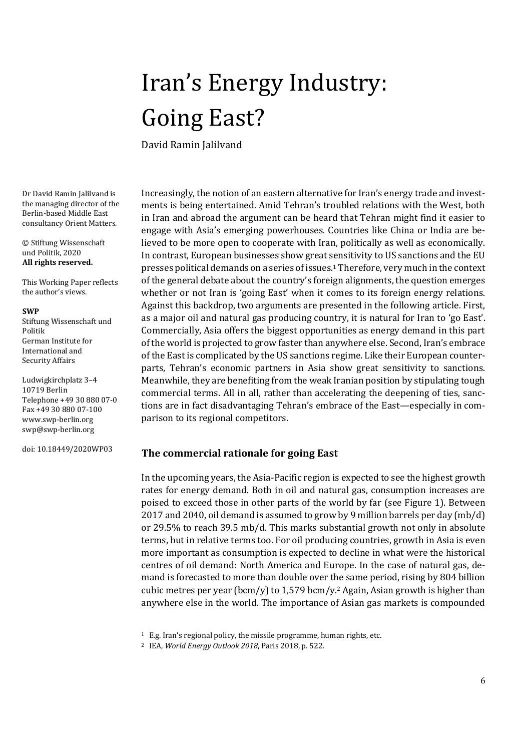# <span id="page-5-0"></span>Iran's Energy Industry: Going East?

David Ramin Jalilvand

Dr David Ramin Jalilvand is the managing director of the Berlin-based Middle East consultancy Orient Matters.

© Stiftung Wissenschaft und Politik, 2020 **All rights reserved.**

This Working Paper reflects the author's views.

#### **SWP**

Stiftung Wissenschaft und Politik German Institute for International and Security Affairs

Ludwigkirchplatz 3–4 10719 Berlin Telephone +49 30 880 07-0 Fax +49 30 880 07-100 [www.swp-berlin.org](http://www.swp-berlin.org/) [swp@swp-berlin.org](mailto:swp@swp-berlin.org)

doi: 10.18449/2020WP03

Increasingly, the notion of an eastern alternative for Iran's energy trade and investments is being entertained. Amid Tehran's troubled relations with the West, both in Iran and abroad the argument can be heard that Tehran might find it easier to engage with Asia's emerging powerhouses. Countries like China or India are believed to be more open to cooperate with Iran, politically as well as economically. In contrast, European businesses show great sensitivity to US sanctions and the EU presses political demands on a series of issues.<sup>1</sup> Therefore, very much in the context of the general debate about the country's foreign alignments, the question emerges whether or not Iran is 'going East' when it comes to its foreign energy relations. Against this backdrop, two arguments are presented in the following article. First, as a major oil and natural gas producing country, it is natural for Iran to 'go East'. Commercially, Asia offers the biggest opportunities as energy demand in this part of the world is projected to grow faster than anywhere else. Second, Iran's embrace of the East is complicated by the US sanctions regime. Like their European counterparts, Tehran's economic partners in Asia show great sensitivity to sanctions. Meanwhile, they are benefiting from the weak Iranian position by stipulating tough commercial terms. All in all, rather than accelerating the deepening of ties, sanctions are in fact disadvantaging Tehran's embrace of the East—especially in comparison to its regional competitors.

### **The commercial rationale for going East**

In the upcoming years, the Asia-Pacific region is expected to see the highest growth rates for energy demand. Both in oil and natural gas, consumption increases are poised to exceed those in other parts of the world by far (see Figure 1). Between 2017 and 2040, oil demand is assumed to grow by 9 million barrels per day (mb/d) or 29.5% to reach 39.5 mb/d. This marks substantial growth not only in absolute terms, but in relative terms too. For oil producing countries, growth in Asia is even more important as consumption is expected to decline in what were the historical centres of oil demand: North America and Europe. In the case of natural gas, demand is forecasted to more than double over the same period, rising by 804 billion cubic metres per year (bcm/y) to 1,579 bcm/y. <sup>2</sup> Again, Asian growth is higher than anywhere else in the world. The importance of Asian gas markets is compounded

<sup>1</sup> E.g. Iran's regional policy, the missile programme, human rights, etc.

<sup>2</sup> IEA, *World Energy Outlook 2018*, Paris 2018, p. 522.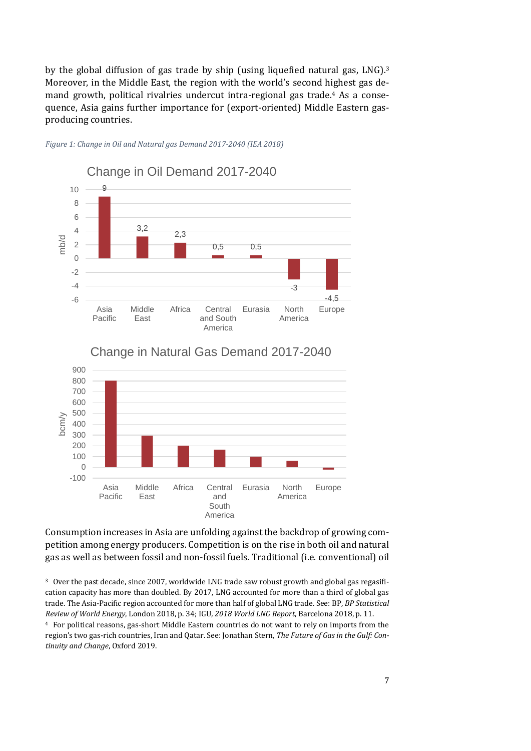by the global diffusion of gas trade by ship (using liquefied natural gas, LNG). 3 Moreover, in the Middle East, the region with the world's second highest gas demand growth, political rivalries undercut intra-regional gas trade. <sup>4</sup> As a consequence, Asia gains further importance for (export-oriented) Middle Eastern gasproducing countries.



*Figure 1: Change in Oil and Natural gas Demand 2017-2040 (IEA 2018)*



Change in Natural Gas Demand 2017-2040

Consumption increases in Asia are unfolding against the backdrop of growing competition among energy producers. Competition is on the rise in both oil and natural gas as well as between fossil and non-fossil fuels. Traditional (i.e. conventional) oil

<sup>3</sup> Over the past decade, since 2007, worldwide LNG trade saw robust growth and global gas regasification capacity has more than doubled. By 2017, LNG accounted for more than a third of global gas trade. The Asia-Pacific region accounted for more than half of global LNG trade. See: BP, *BP Statistical Review of World Energy*, London 2018, p. 34; IGU*, 2018 World LNG Report*, Barcelona 2018, p. 11.

<sup>4</sup> For political reasons, gas-short Middle Eastern countries do not want to rely on imports from the region's two gas-rich countries, Iran and Qatar. See: Jonathan Stern, *The Future of Gas in the Gulf: Continuity and Change*, Oxford 2019.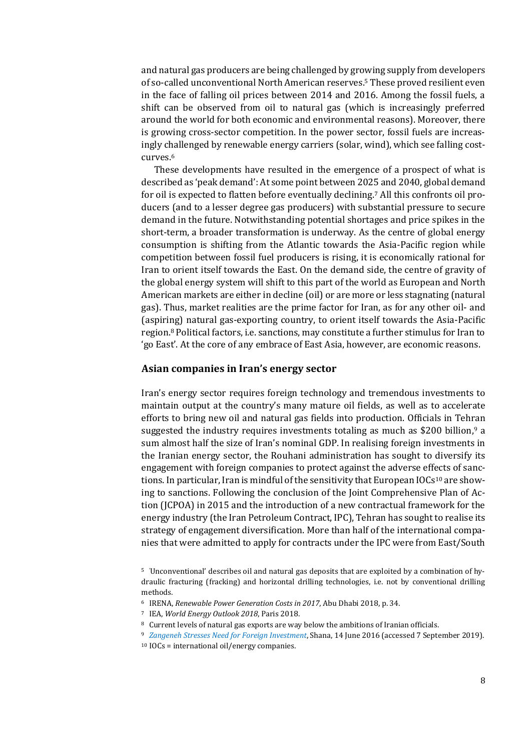and natural gas producers are being challenged by growing supply from developers of so-called unconventional North American reserves.<sup>5</sup> These proved resilient even in the face of falling oil prices between 2014 and 2016. Among the fossil fuels, a shift can be observed from oil to natural gas (which is increasingly preferred around the world for both economic and environmental reasons). Moreover, there is growing cross-sector competition. In the power sector, fossil fuels are increasingly challenged by renewable energy carriers (solar, wind), which see falling costcurves. 6

These developments have resulted in the emergence of a prospect of what is described as 'peak demand': At some point between 2025 and 2040, global demand for oil is expected to flatten before eventually declining. <sup>7</sup> All this confronts oil producers (and to a lesser degree gas producers) with substantial pressure to secure demand in the future. Notwithstanding potential shortages and price spikes in the short-term, a broader transformation is underway. As the centre of global energy consumption is shifting from the Atlantic towards the Asia-Pacific region while competition between fossil fuel producers is rising, it is economically rational for Iran to orient itself towards the East. On the demand side, the centre of gravity of the global energy system will shift to this part of the world as European and North American markets are either in decline (oil) or are more or less stagnating (natural gas). Thus, market realities are the prime factor for Iran, as for any other oil- and (aspiring) natural gas-exporting country, to orient itself towards the Asia-Pacific region.<sup>8</sup> Political factors, i.e. sanctions, may constitute a further stimulus for Iran to 'go East'. At the core of any embrace of East Asia, however, are economic reasons.

### **Asian companies in Iran's energy sector**

Iran's energy sector requires foreign technology and tremendous investments to maintain output at the country's many mature oil fields, as well as to accelerate efforts to bring new oil and natural gas fields into production. Officials in Tehran suggested the industry requires investments totaling as much as \$200 billion,<sup>9</sup> a sum almost half the size of Iran's nominal GDP. In realising foreign investments in the Iranian energy sector, the Rouhani administration has sought to diversify its engagement with foreign companies to protect against the adverse effects of sanctions. In particular, Iran is mindful of the sensitivity that European IOCs<sup>10</sup> are showing to sanctions. Following the conclusion of the Joint Comprehensive Plan of Action (JCPOA) in 2015 and the introduction of a new contractual framework for the energy industry (the Iran Petroleum Contract, IPC), Tehran has sought to realise its strategy of engagement diversification. More than half of the international companies that were admitted to apply for contracts under the IPC were from East/South

<sup>5</sup> 'Unconventional' describes oil and natural gas deposits that are exploited by a combination of hydraulic fracturing (fracking) and horizontal drilling technologies, i.e. not by conventional drilling methods.

<sup>6</sup> IRENA, *Renewable Power Generation Costs in 2017*, Abu Dhabi 2018, p. 34.

<sup>7</sup> IEA, *World Energy Outlook 2018*, Paris 2018.

<sup>8</sup> Current levels of natural gas exports are way below the ambitions of Iranian officials.

<sup>9</sup> *[Zangeneh Stresses Need for Foreign Investment](https://en.shana.ir/news/262987/Zangeneh-Stresses-Need-for-Foreign-Investment)*, Shana, 14 June 2016 (accessed 7 September 2019). <sup>10</sup> IOCs = international oil/energy companies.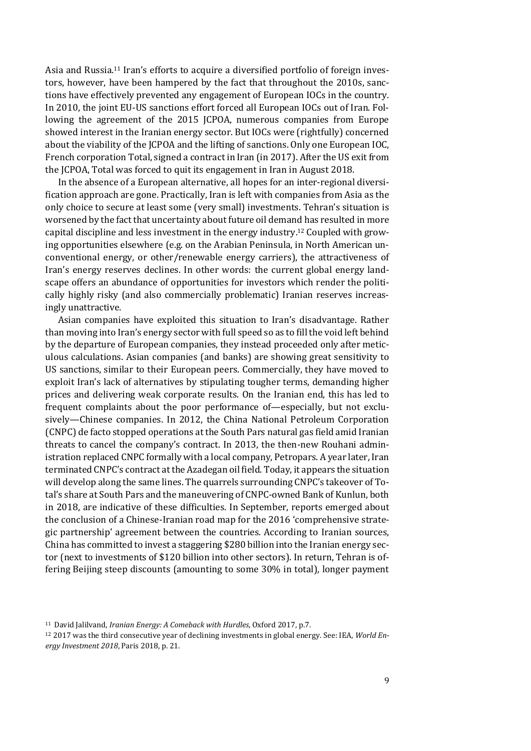Asia and Russia.<sup>11</sup> Iran's efforts to acquire a diversified portfolio of foreign investors, however, have been hampered by the fact that throughout the 2010s, sanctions have effectively prevented any engagement of European IOCs in the country. In 2010, the joint EU-US sanctions effort forced all European IOCs out of Iran. Following the agreement of the 2015 JCPOA, numerous companies from Europe showed interest in the Iranian energy sector. But IOCs were (rightfully) concerned about the viability of the JCPOA and the lifting of sanctions. Only one European IOC, French corporation Total, signed a contract in Iran (in 2017). After the US exit from the JCPOA, Total was forced to quit its engagement in Iran in August 2018.

In the absence of a European alternative, all hopes for an inter-regional diversification approach are gone. Practically, Iran is left with companies from Asia as the only choice to secure at least some (very small) investments. Tehran's situation is worsened by the fact that uncertainty about future oil demand has resulted in more capital discipline and less investment in the energy industry. <sup>12</sup> Coupled with growing opportunities elsewhere (e.g. on the Arabian Peninsula, in North American unconventional energy, or other/renewable energy carriers), the attractiveness of Iran's energy reserves declines. In other words: the current global energy landscape offers an abundance of opportunities for investors which render the politically highly risky (and also commercially problematic) Iranian reserves increasingly unattractive.

Asian companies have exploited this situation to Iran's disadvantage. Rather than moving into Iran's energy sector with full speed so as to fill the void left behind by the departure of European companies, they instead proceeded only after meticulous calculations. Asian companies (and banks) are showing great sensitivity to US sanctions, similar to their European peers. Commercially, they have moved to exploit Iran's lack of alternatives by stipulating tougher terms, demanding higher prices and delivering weak corporate results. On the Iranian end, this has led to frequent complaints about the poor performance of—especially, but not exclusively—Chinese companies. In 2012, the China National Petroleum Corporation (CNPC) de facto stopped operations at the South Pars natural gas field amid Iranian threats to cancel the company's contract. In 2013, the then-new Rouhani administration replaced CNPC formally with a local company, Petropars. A year later, Iran terminated CNPC's contract at the Azadegan oil field. Today, it appears the situation will develop along the same lines. The quarrels surrounding CNPC's takeover of Total's share at South Pars and the maneuvering of CNPC-owned Bank of Kunlun, both in 2018, are indicative of these difficulties. In September, reports emerged about the conclusion of a Chinese-Iranian road map for the 2016 'comprehensive strategic partnership' agreement between the countries. According to Iranian sources, China has committed to invest a staggering \$280 billion into the Iranian energy sector (next to investments of \$120 billion into other sectors). In return, Tehran is offering Beijing steep discounts (amounting to some 30% in total), longer payment

<sup>11</sup> David Jalilvand, *Iranian Energy: A Comeback with Hurdles*, Oxford 2017, p.7.

<sup>12</sup> 2017 was the third consecutive year of declining investments in global energy. See: IEA, *World Energy Investment 2018*, Paris 2018, p. 21.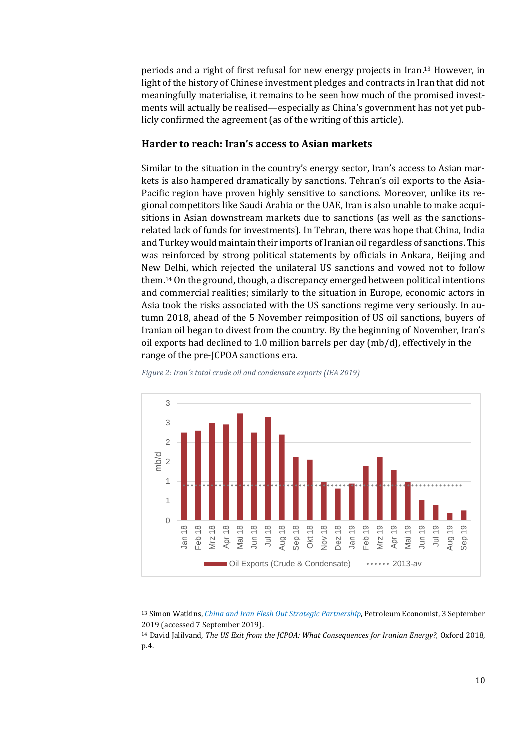periods and a right of first refusal for new energy projects in Iran. <sup>13</sup> However, in light of the history of Chinese investment pledges and contracts in Iran that did not meaningfully materialise, it remains to be seen how much of the promised investments will actually be realised—especially as China's government has not yet publicly confirmed the agreement (as of the writing of this article).

### **Harder to reach: Iran's access to Asian markets**

Similar to the situation in the country's energy sector, Iran's access to Asian markets is also hampered dramatically by sanctions. Tehran's oil exports to the Asia-Pacific region have proven highly sensitive to sanctions. Moreover, unlike its regional competitors like Saudi Arabia or the UAE, Iran is also unable to make acquisitions in Asian downstream markets due to sanctions (as well as the sanctionsrelated lack of funds for investments). In Tehran, there was hope that China, India and Turkey would maintain their imports of Iranian oil regardless of sanctions. This was reinforced by strong political statements by officials in Ankara, Beijing and New Delhi, which rejected the unilateral US sanctions and vowed not to follow them. <sup>14</sup> On the ground, though, a discrepancy emerged between political intentions and commercial realities; similarly to the situation in Europe, economic actors in Asia took the risks associated with the US sanctions regime very seriously. In autumn 2018, ahead of the 5 November reimposition of US oil sanctions, buyers of Iranian oil began to divest from the country. By the beginning of November, Iran's oil exports had declined to 1.0 million barrels per day (mb/d), effectively in the range of the pre-JCPOA sanctions era.



*Figure 2: Iran´s total crude oil and condensate exports (IEA 2019)*

<sup>13</sup> Simon Watkins, *[China and Iran Flesh Out Strategic Partnership](https://www.petroleum-economist.com/articles/politics-economics/middle-east/2019/china-and-iran-flesh-out-strategic-partnership)*, Petroleum Economist, 3 September 2019 (accessed 7 September 2019).

<sup>14</sup> David Jalilvand, *The US Exit from the JCPOA: What Consequences for Iranian Energy?,* Oxford 2018, p.4.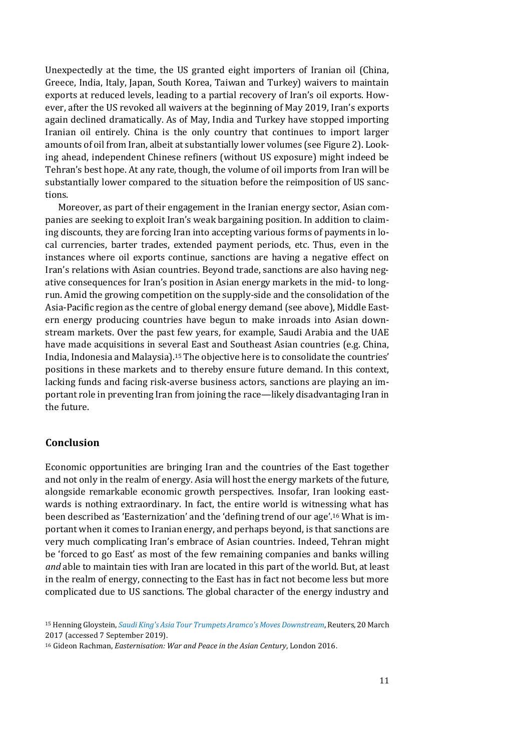Unexpectedly at the time, the US granted eight importers of Iranian oil (China, Greece, India, Italy, Japan, South Korea, Taiwan and Turkey) waivers to maintain exports at reduced levels, leading to a partial recovery of Iran's oil exports. However, after the US revoked all waivers at the beginning of May 2019, Iran's exports again declined dramatically. As of May, India and Turkey have stopped importing Iranian oil entirely. China is the only country that continues to import larger amounts of oil from Iran, albeit at substantially lower volumes (see Figure 2). Looking ahead, independent Chinese refiners (without US exposure) might indeed be Tehran's best hope. At any rate, though, the volume of oil imports from Iran will be substantially lower compared to the situation before the reimposition of US sanctions.

Moreover, as part of their engagement in the Iranian energy sector, Asian companies are seeking to exploit Iran's weak bargaining position. In addition to claiming discounts, they are forcing Iran into accepting various forms of payments in local currencies, barter trades, extended payment periods, etc. Thus, even in the instances where oil exports continue, sanctions are having a negative effect on Iran's relations with Asian countries. Beyond trade, sanctions are also having negative consequences for Iran's position in Asian energy markets in the mid- to longrun. Amid the growing competition on the supply-side and the consolidation of the Asia-Pacific region as the centre of global energy demand (see above), Middle Eastern energy producing countries have begun to make inroads into Asian downstream markets. Over the past few years, for example, Saudi Arabia and the UAE have made acquisitions in several East and Southeast Asian countries (e.g. China, India, Indonesia and Malaysia). <sup>15</sup> The objective here is to consolidate the countries' positions in these markets and to thereby ensure future demand. In this context, lacking funds and facing risk-averse business actors, sanctions are playing an important role in preventing Iran from joining the race—likely disadvantaging Iran in the future.

### **Conclusion**

Economic opportunities are bringing Iran and the countries of the East together and not only in the realm of energy. Asia will host the energy markets of the future, alongside remarkable economic growth perspectives. Insofar, Iran looking eastwards is nothing extraordinary. In fact, the entire world is witnessing what has been described as 'Easternization' and the 'defining trend of our age'. <sup>16</sup> What is important when it comes to Iranian energy, and perhaps beyond, is that sanctions are very much complicating Iran's embrace of Asian countries. Indeed, Tehran might be 'forced to go East' as most of the few remaining companies and banks willing *and* able to maintain ties with Iran are located in this part of the world. But, at least in the realm of energy, connecting to the East has in fact not become less but more complicated due to US sanctions. The global character of the energy industry and

<sup>15</sup> Henning Gloystein, *[Saudi King's Asia Tour Trumpets Aramco's Moves Downstream](https://www.reuters.com/article/us-saudi-asia-oil/saudi-kings-asia-tour-trumpets-aramcos-moves-downstream-idUSKBN16R0J6)*, Reuters, 20 March 2017 (accessed 7 September 2019).

<sup>16</sup> Gideon Rachman, *Easternisation: War and Peace in the Asian Century*, London 2016.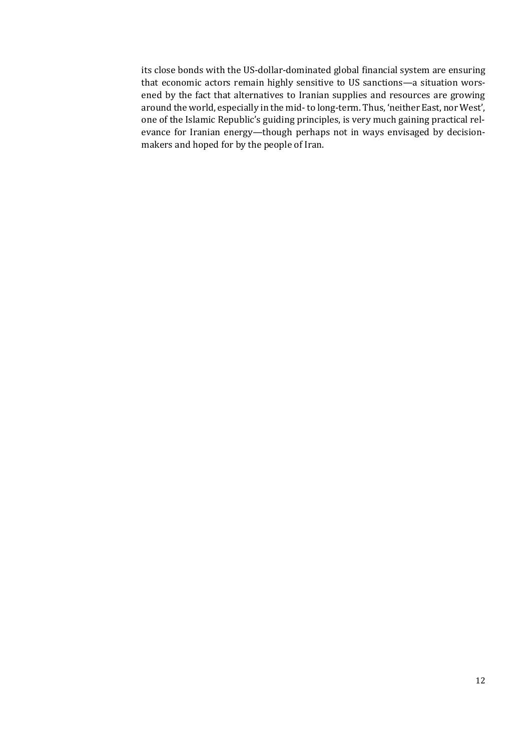its close bonds with the US-dollar-dominated global financial system are ensuring that economic actors remain highly sensitive to US sanctions—a situation worsened by the fact that alternatives to Iranian supplies and resources are growing around the world, especially in the mid-to long-term. Thus, 'neither East, nor West', one of the Islamic Republic's guiding principles, is very much gaining practical relevance for Iranian energy—though perhaps not in ways envisaged by decisionmakers and hoped for by the people of Iran.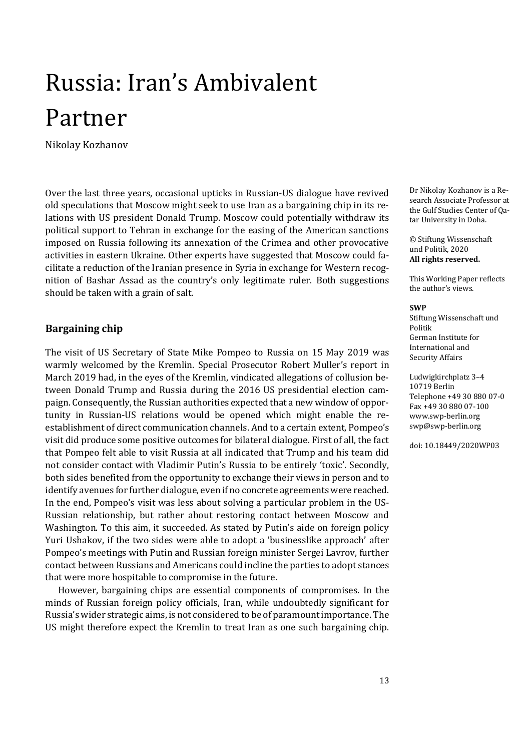# <span id="page-12-0"></span>Russia: Iran's Ambivalent Partner

Nikolay Kozhanov

Over the last three years, occasional upticks in Russian-US dialogue have revived old speculations that Moscow might seek to use Iran as a bargaining chip in its relations with US president Donald Trump. Moscow could potentially withdraw its political support to Tehran in exchange for the easing of the American sanctions imposed on Russia following its annexation of the Crimea and other provocative activities in eastern Ukraine. Other experts have suggested that Moscow could facilitate a reduction of the Iranian presence in Syria in exchange for Western recognition of Bashar Assad as the country's only legitimate ruler. Both suggestions should be taken with a grain of salt.

### **Bargaining chip**

The visit of US Secretary of State Mike Pompeo to Russia on 15 May 2019 was warmly welcomed by the Kremlin. Special Prosecutor Robert Muller's report in March 2019 had, in the eyes of the Kremlin, vindicated allegations of collusion between Donald Trump and Russia during the 2016 US presidential election campaign. Consequently, the Russian authorities expected that a new window of opportunity in Russian-US relations would be opened which might enable the reestablishment of direct communication channels. And to a certain extent, Pompeo's visit did produce some positive outcomes for bilateral dialogue. First of all, the fact that Pompeo felt able to visit Russia at all indicated that Trump and his team did not consider contact with Vladimir Putin's Russia to be entirely 'toxic'. Secondly, both sides benefited from the opportunity to exchange their views in person and to identify avenues for further dialogue, even if no concrete agreements were reached. In the end, Pompeo's visit was less about solving a particular problem in the US-Russian relationship, but rather about restoring contact between Moscow and Washington. To this aim, it succeeded. As stated by Putin's aide on foreign policy Yuri Ushakov, if the two sides were able to adopt a 'businesslike approach' after Pompeo's meetings with Putin and Russian foreign minister Sergei Lavrov, further contact between Russians and Americans could incline the parties to adopt stances that were more hospitable to compromise in the future.

However, bargaining chips are essential components of compromises. In the minds of Russian foreign policy officials, Iran, while undoubtedly significant for Russia's wider strategic aims, is not considered to be of paramount importance. The US might therefore expect the Kremlin to treat Iran as one such bargaining chip.

Dr Nikolay Kozhanov is a Research Associate Professor at the Gulf Studies Center of Qatar University in Doha.

© Stiftung Wissenschaft und Politik, 2020 **All rights reserved.**

This Working Paper reflects the author's views.

#### **SWP**

Stiftung Wissenschaft und Politik German Institute for International and Security Affairs

Ludwigkirchplatz 3–4 10719 Berlin Telephone +49 30 880 07-0 Fax +49 30 880 07-100 [www.swp-berlin.org](http://www.swp-berlin.org/) [swp@swp-berlin.org](mailto:swp@swp-berlin.org)

doi: 10.18449/2020WP03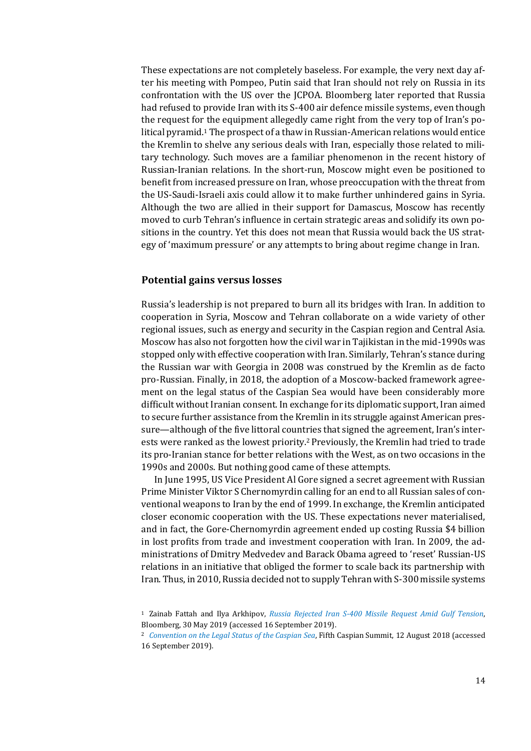These expectations are not completely baseless. For example, the very next day after his meeting with Pompeo, Putin said that Iran should not rely on Russia in its confrontation with the US over the JCPOA. Bloomberg later reported that Russia had refused to provide Iran with its S-400 air defence missile systems, even though the request for the equipment allegedly came right from the very top of Iran's political pyramid.<sup>1</sup> The prospect of a thaw in Russian-American relations would entice the Kremlin to shelve any serious deals with Iran, especially those related to military technology. Such moves are a familiar phenomenon in the recent history of Russian-Iranian relations. In the short-run, Moscow might even be positioned to benefit from increased pressure on Iran, whose preoccupation with the threat from the US-Saudi-Israeli axis could allow it to make further unhindered gains in Syria. Although the two are allied in their support for Damascus, Moscow has recently moved to curb Tehran's influence in certain strategic areas and solidify its own positions in the country. Yet this does not mean that Russia would back the US strategy of 'maximum pressure' or any attempts to bring about regime change in Iran.

### **Potential gains versus losses**

Russia's leadership is not prepared to burn all its bridges with Iran. In addition to cooperation in Syria, Moscow and Tehran collaborate on a wide variety of other regional issues, such as energy and security in the Caspian region and Central Asia. Moscow has also not forgotten how the civil war in Tajikistan in the mid-1990s was stopped only with effective cooperation with Iran. Similarly, Tehran's stance during the Russian war with Georgia in 2008 was construed by the Kremlin as de facto pro-Russian. Finally, in 2018, the adoption of a Moscow-backed framework agreement on the legal status of the Caspian Sea would have been considerably more difficult without Iranian consent. In exchange for its diplomatic support, Iran aimed to secure further assistance from the Kremlin in its struggle against American pressure—although of the five littoral countries that signed the agreement, Iran's interests were ranked as the lowest priority.2Previously, the Kremlin had tried to trade its pro-Iranian stance for better relations with the West, as on two occasions in the 1990s and 2000s. But nothing good came of these attempts.

In June 1995, US Vice President Al Gore signed a secret agreement with Russian Prime Minister Viktor S Chernomyrdin calling for an end to all Russian sales of conventional weapons to Iran by the end of 1999. In exchange, the Kremlin anticipated closer economic cooperation with the US. These expectations never materialised, and in fact, the Gore-Chernomyrdin agreement ended up costing Russia \$4 billion in lost profits from trade and investment cooperation with Iran. In 2009, the administrations of Dmitry Medvedev and Barack Obama agreed to 'reset' Russian-US relations in an initiative that obliged the former to scale back its partnership with Iran. Thus, in 2010, Russia decided not to supply Tehran with S-300 missile systems

<sup>1</sup> Zainab Fattah and Ilya Arkhipov, *[Russia Rejected Iran S-400 Missile Request Amid Gulf Tension](https://www.bloomberg.com/news/articles/2019-05-30/russia-rejected-iran-s-400-missiles-request-amid-gulf-tension)*, Bloomberg, 30 May 2019 (accessed 16 September 2019).

<sup>2</sup> *[Convention on the Legal Status of the Caspian Sea](http://en.kremlin.ru/supplement/5328)*, Fifth Caspian Summit, 12 August 2018 (accessed 16 September 2019).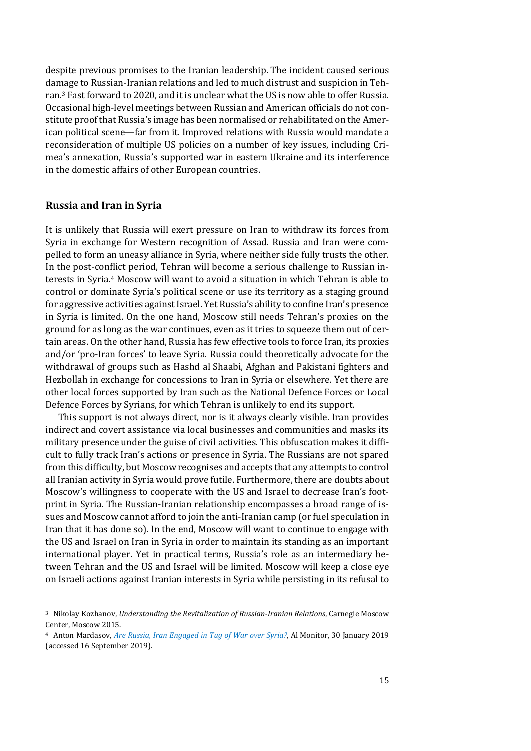despite previous promises to the Iranian leadership. The incident caused serious damage to Russian-Iranian relations and led to much distrust and suspicion in Tehran.<sup>3</sup> Fast forward to 2020, and it is unclear what the US is now able to offer Russia. Occasional high-level meetings between Russian and American officials do not constitute proof that Russia's image has been normalised or rehabilitated on the American political scene—far from it. Improved relations with Russia would mandate a reconsideration of multiple US policies on a number of key issues, including Crimea's annexation, Russia's supported war in eastern Ukraine and its interference in the domestic affairs of other European countries.

### **Russia and Iran in Syria**

It is unlikely that Russia will exert pressure on Iran to withdraw its forces from Syria in exchange for Western recognition of Assad. Russia and Iran were compelled to form an uneasy alliance in Syria, where neither side fully trusts the other. In the post-conflict period, Tehran will become a serious challenge to Russian interests in Syria.<sup>4</sup> Moscow will want to avoid a situation in which Tehran is able to control or dominate Syria's political scene or use its territory as a staging ground for aggressive activities against Israel. Yet Russia's ability to confine Iran's presence in Syria is limited. On the one hand, Moscow still needs Tehran's proxies on the ground for as long as the war continues, even as it tries to squeeze them out of certain areas. On the other hand, Russia has few effective tools to force Iran, its proxies and/or 'pro-Iran forces' to leave Syria. Russia could theoretically advocate for the withdrawal of groups such as Hashd al Shaabi, Afghan and Pakistani fighters and Hezbollah in exchange for concessions to Iran in Syria or elsewhere. Yet there are other local forces supported by Iran such as the National Defence Forces or Local Defence Forces by Syrians, for which Tehran is unlikely to end its support.

This support is not always direct, nor is it always clearly visible. Iran provides indirect and covert assistance via local businesses and communities and masks its military presence under the guise of civil activities. This obfuscation makes it difficult to fully track Iran's actions or presence in Syria. The Russians are not spared from this difficulty, but Moscow recognises and accepts that any attempts to control all Iranian activity in Syria would prove futile. Furthermore, there are doubts about Moscow's willingness to cooperate with the US and Israel to decrease Iran's footprint in Syria. The Russian-Iranian relationship encompasses a broad range of issues and Moscow cannot afford to join the anti-Iranian camp (or fuel speculation in Iran that it has done so). In the end, Moscow will want to continue to engage with the US and Israel on Iran in Syria in order to maintain its standing as an important international player. Yet in practical terms, Russia's role as an intermediary between Tehran and the US and Israel will be limited. Moscow will keep a close eye on Israeli actions against Iranian interests in Syria while persisting in its refusal to

<sup>3</sup> Nikolay Kozhanov, *Understanding the Revitalization of Russian-Iranian Relations*, Carnegie Moscow Center, Moscow 2015.

<sup>4</sup> Anton Mardasov, *[Are Russia, Iran Engaged in Tug of War over Syria?](https://www.al-monitor.com/pulse/originals/2019/01/russia-iran-syria-rivalry.html)*, Al Monitor, 30 January 2019 (accessed 16 September 2019).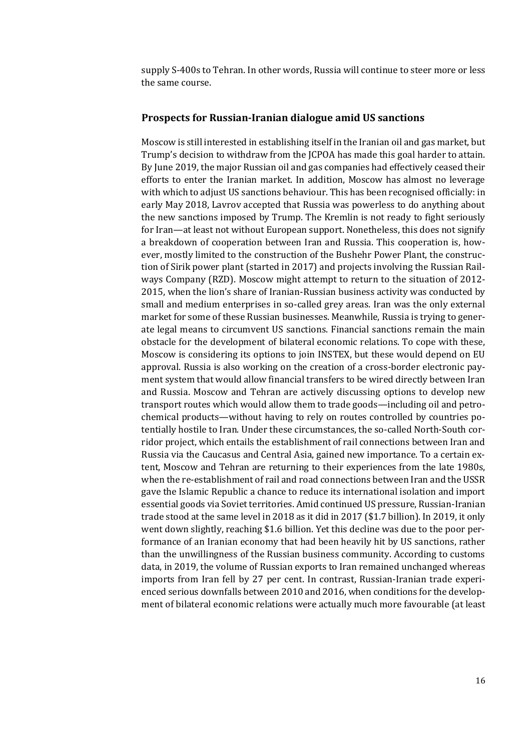supply S-400s to Tehran. In other words, Russia will continue to steer more or less the same course.

### **Prospects for Russian-Iranian dialogue amid US sanctions**

Moscow is still interested in establishing itself in the Iranian oil and gas market, but Trump's decision to withdraw from the JCPOA has made this goal harder to attain. By June 2019, the major Russian oil and gas companies had effectively ceased their efforts to enter the Iranian market. In addition, Moscow has almost no leverage with which to adjust US sanctions behaviour. This has been recognised officially: in early May 2018, Lavrov accepted that Russia was powerless to do anything about the new sanctions imposed by Trump. The Kremlin is not ready to fight seriously for Iran—at least not without European support. Nonetheless, this does not signify a breakdown of cooperation between Iran and Russia. This cooperation is, however, mostly limited to the construction of the Bushehr Power Plant, the construction of Sirik power plant (started in 2017) and projects involving the Russian Railways Company (RZD). Moscow might attempt to return to the situation of 2012- 2015, when the lion's share of Iranian-Russian business activity was conducted by small and medium enterprises in so-called grey areas. Iran was the only external market for some of these Russian businesses. Meanwhile, Russia is trying to generate legal means to circumvent US sanctions. Financial sanctions remain the main obstacle for the development of bilateral economic relations. To cope with these, Moscow is considering its options to join INSTEX, but these would depend on EU approval. Russia is also working on the creation of a cross-border electronic payment system that would allow financial transfers to be wired directly between Iran and Russia. Moscow and Tehran are actively discussing options to develop new transport routes which would allow them to trade goods—including oil and petrochemical products—without having to rely on routes controlled by countries potentially hostile to Iran. Under these circumstances, the so-called North-South corridor project, which entails the establishment of rail connections between Iran and Russia via the Caucasus and Central Asia, gained new importance. To a certain extent, Moscow and Tehran are returning to their experiences from the late 1980s, when the re-establishment of rail and road connections between Iran and the USSR gave the Islamic Republic a chance to reduce its international isolation and import essential goods via Soviet territories. Amid continued US pressure, Russian-Iranian trade stood at the same level in 2018 as it did in 2017 (\$1.7 billion). In 2019, it only went down slightly, reaching \$1.6 billion. Yet this decline was due to the poor performance of an Iranian economy that had been heavily hit by US sanctions, rather than the unwillingness of the Russian business community. According to customs data, in 2019, the volume of Russian exports to Iran remained unchanged whereas imports from Iran fell by 27 per cent. In contrast, Russian-Iranian trade experienced serious downfalls between 2010 and 2016, when conditions for the development of bilateral economic relations were actually much more favourable (at least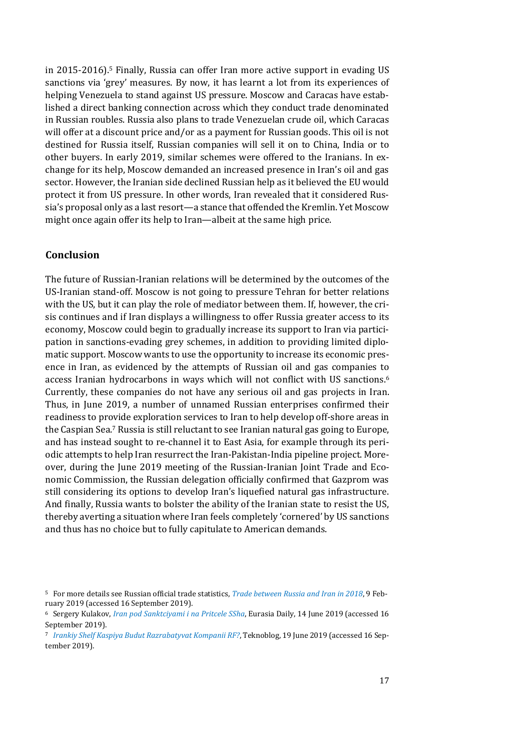in 2015-2016).<sup>5</sup> Finally, Russia can offer Iran more active support in evading US sanctions via 'grey' measures. By now, it has learnt a lot from its experiences of helping Venezuela to stand against US pressure. Moscow and Caracas have established a direct banking connection across which they conduct trade denominated in Russian roubles. Russia also plans to trade Venezuelan crude oil, which Caracas will offer at a discount price and/or as a payment for Russian goods. This oil is not destined for Russia itself, Russian companies will sell it on to China, India or to other buyers. In early 2019, similar schemes were offered to the Iranians. In exchange for its help, Moscow demanded an increased presence in Iran's oil and gas sector. However, the Iranian side declined Russian help as it believed the EU would protect it from US pressure. In other words, Iran revealed that it considered Russia's proposal only as a last resort—a stance that offended the Kremlin. Yet Moscow might once again offer its help to Iran—albeit at the same high price.

### **Conclusion**

The future of Russian-Iranian relations will be determined by the outcomes of the US-Iranian stand-off. Moscow is not going to pressure Tehran for better relations with the US, but it can play the role of mediator between them. If, however, the crisis continues and if Iran displays a willingness to offer Russia greater access to its economy, Moscow could begin to gradually increase its support to Iran via participation in sanctions-evading grey schemes, in addition to providing limited diplomatic support. Moscow wants to use the opportunity to increase its economic presence in Iran, as evidenced by the attempts of Russian oil and gas companies to access Iranian hydrocarbons in ways which will not conflict with US sanctions.<sup>6</sup> Currently, these companies do not have any serious oil and gas projects in Iran. Thus, in June 2019, a number of unnamed Russian enterprises confirmed their readiness to provide exploration services to Iran to help develop off-shore areas in the Caspian Sea.<sup>7</sup> Russia is still reluctant to see Iranian natural gas going to Europe, and has instead sought to re-channel it to East Asia, for example through its periodic attempts to help Iran resurrect the Iran-Pakistan-India pipeline project. Moreover, during the June 2019 meeting of the Russian-Iranian Joint Trade and Economic Commission, the Russian delegation officially confirmed that Gazprom was still considering its options to develop Iran's liquefied natural gas infrastructure. And finally, Russia wants to bolster the ability of the Iranian state to resist the US, thereby averting a situation where Iran feels completely 'cornered' by US sanctions and thus has no choice but to fully capitulate to American demands.

<sup>5</sup> For more details see Russian official trade statistics, *[Trade between Russia and Iran in 2018](http://russian-trade.com/reports-and-reviews/2019-02/torgovlya-mezhdu-rossiey-i-iranom-v-2018-g/)*, 9 February 2019 (accessed 16 September 2019).

<sup>6</sup> Sergery Kulakov, *[Iran pod Sanktciyami i na Pritcele SSha](https://eadaily.com/ru/news/2019/06/14/iran-pod-sankciyami-i-na-pricele-ssha-posredniki-licemery-i-druzya)*, Eurasia Daily, 14 June 2019 (accessed 16 September 2019).

<sup>7</sup> *[Irankiy Shelf Kaspiya Budut Razrabatyvat Kompanii RF?](https://teknoblog.ru/2019/06/19/99751)*, Teknoblog, 19 June 2019 (accessed 16 September 2019).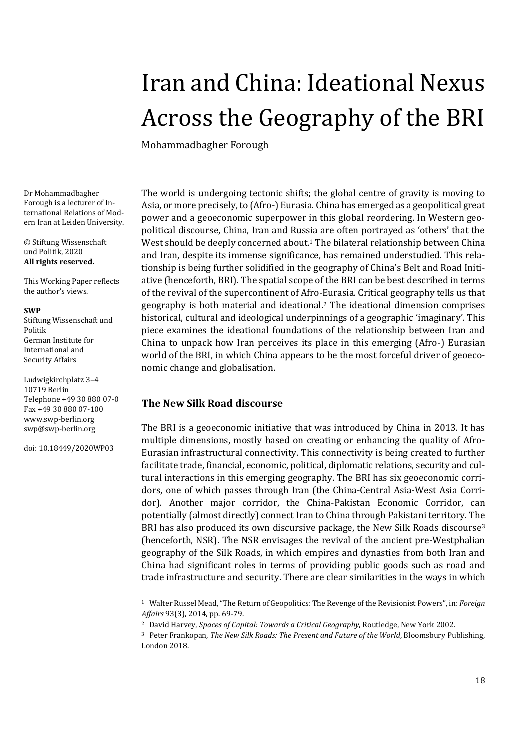# <span id="page-17-0"></span>Iran and China: Ideational Nexus Across the Geography of the BRI

Mohammadbagher Forough

Dr Mohammadbagher Forough is a lecturer of International Relations of Modern Iran at Leiden University.

© Stiftung Wissenschaft und Politik, 2020 **All rights reserved.**

This Working Paper reflects the author's views.

### **SWP**

Stiftung Wissenschaft und Politik German Institute for International and Security Affairs

Ludwigkirchplatz 3–4 10719 Berlin Telephone +49 30 880 07-0 Fax +49 30 880 07-100 [www.swp-berlin.org](http://www.swp-berlin.org/) [swp@swp-berlin.org](mailto:swp@swp-berlin.org)

doi: 10.18449/2020WP03

The world is undergoing tectonic shifts; the global centre of gravity is moving to Asia, or more precisely, to (Afro-) Eurasia. China has emerged as a geopolitical great power and a geoeconomic superpower in this global reordering. In Western geopolitical discourse, China, Iran and Russia are often portrayed as 'others' that the West should be deeply concerned about. <sup>1</sup> The bilateral relationship between China and Iran, despite its immense significance, has remained understudied. This relationship is being further solidified in the geography of China's Belt and Road Initiative (henceforth, BRI). The spatial scope of the BRI can be best described in terms of the revival of the supercontinent of Afro-Eurasia. Critical geography tells us that geography is both material and ideational. <sup>2</sup> The ideational dimension comprises historical, cultural and ideological underpinnings of a geographic 'imaginary'. This piece examines the ideational foundations of the relationship between Iran and China to unpack how Iran perceives its place in this emerging (Afro-) Eurasian world of the BRI, in which China appears to be the most forceful driver of geoeconomic change and globalisation.

### **The New Silk Road discourse**

The BRI is a geoeconomic initiative that was introduced by China in 2013. It has multiple dimensions, mostly based on creating or enhancing the quality of Afro-Eurasian infrastructural connectivity. This connectivity is being created to further facilitate trade, financial, economic, political, diplomatic relations, security and cultural interactions in this emerging geography. The BRI has six geoeconomic corridors, one of which passes through Iran (the China-Central Asia-West Asia Corridor). Another major corridor, the China-Pakistan Economic Corridor, can potentially (almost directly) connect Iran to China through Pakistani territory. The BRI has also produced its own discursive package, the New Silk Roads discourse<sup>3</sup> (henceforth, NSR). The NSR envisages the revival of the ancient pre-Westphalian geography of the Silk Roads, in which empires and dynasties from both Iran and China had significant roles in terms of providing public goods such as road and trade infrastructure and security. There are clear similarities in the ways in which

<sup>1</sup> Walter Russel Mead, "The Return of Geopolitics: The Revenge of the Revisionist Powers", in: *Foreign Affairs* 93(3), 2014, pp. 69-79.

<sup>2</sup> David Harvey, *Spaces of Capital: Towards a Critical Geography*, Routledge, New York 2002.

<sup>3</sup> Peter Frankopan, *The New Silk Roads: The Present and Future of the World*, Bloomsbury Publishing, London 2018.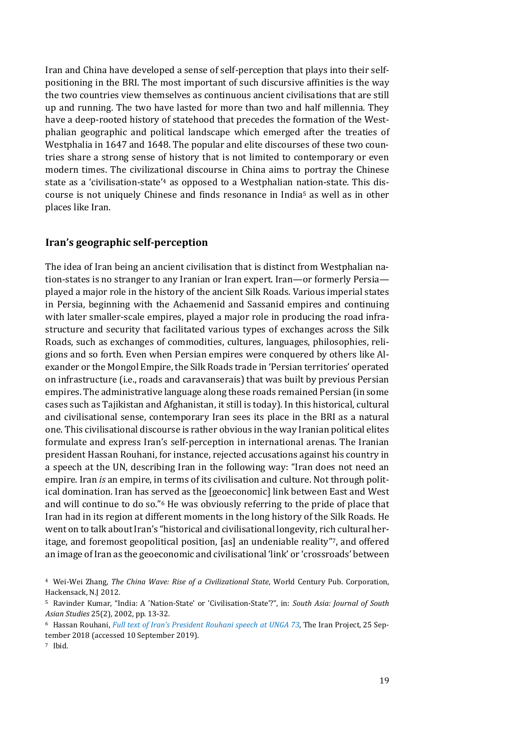Iran and China have developed a sense of self-perception that plays into their selfpositioning in the BRI. The most important of such discursive affinities is the way the two countries view themselves as continuous ancient civilisations that are still up and running. The two have lasted for more than two and half millennia. They have a deep-rooted history of statehood that precedes the formation of the Westphalian geographic and political landscape which emerged after the treaties of Westphalia in 1647 and 1648. The popular and elite discourses of these two countries share a strong sense of history that is not limited to contemporary or even modern times. The civilizational discourse in China aims to portray the Chinese state as a 'civilisation-state' <sup>4</sup> as opposed to a Westphalian nation-state. This discourse is not uniquely Chinese and finds resonance in India<sup>5</sup> as well as in other places like Iran.

### **Iran's geographic self-perception**

The idea of Iran being an ancient civilisation that is distinct from Westphalian nation-states is no stranger to any Iranian or Iran expert. Iran—or formerly Persia played a major role in the history of the ancient Silk Roads. Various imperial states in Persia, beginning with the Achaemenid and Sassanid empires and continuing with later smaller-scale empires, played a major role in producing the road infrastructure and security that facilitated various types of exchanges across the Silk Roads, such as exchanges of commodities, cultures, languages, philosophies, religions and so forth. Even when Persian empires were conquered by others like Alexander or the Mongol Empire, the Silk Roads trade in 'Persian territories' operated on infrastructure (i.e., roads and caravanserais) that was built by previous Persian empires. The administrative language along these roads remained Persian (in some cases such as Tajikistan and Afghanistan, it still is today). In this historical, cultural and civilisational sense, contemporary Iran sees its place in the BRI as a natural one. This civilisational discourse is rather obvious in the way Iranian political elites formulate and express Iran's self-perception in international arenas. The Iranian president Hassan Rouhani, for instance, rejected accusations against his country in a speech at the UN, describing Iran in the following way: "Iran does not need an empire. Iran *is* an empire, in terms of its civilisation and culture. Not through political domination. Iran has served as the [geoeconomic] link between East and West and will continue to do so."<sup>6</sup> He was obviously referring to the pride of place that Iran had in its region at different moments in the long history of the Silk Roads. He went on to talk about Iran's "historical and civilisational longevity, rich cultural heritage, and foremost geopolitical position, [as] an undeniable reality" <sup>7</sup>, and offered an image of Iran as the geoeconomic and civilisational 'link' or 'crossroads' between

<sup>4</sup> Wei-Wei Zhang, *The China Wave: Rise of a Civilizational State*, World Century Pub. Corporation, Hackensack, N.J 2012.

<sup>5</sup> Ravinder Kumar, "India: A 'Nation-State' or 'Civilisation-State'?", in: *South Asia: Journal of South Asian Studies* 25(2), 2002, pp. 13-32.

<sup>6</sup> Hassan Rouhani, *[Full text of Iran's President Rouhani speech at UNGA 73](https://theiranproject.com/blog/2018/09/25/full-text-of-irans-president-rouhani-speech-at-unga-73/)*, The Iran Project, 25 September 2018 (accessed 10 September 2019).

<sup>7</sup> Ibid.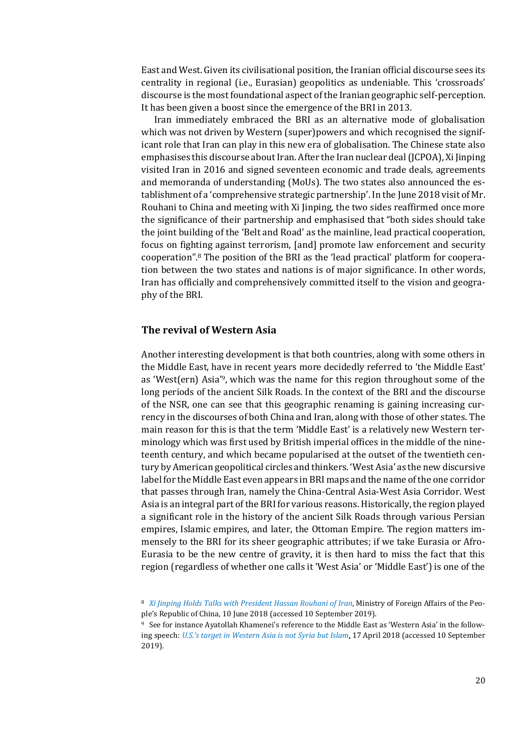East and West. Given its civilisational position, the Iranian official discourse sees its centrality in regional (i.e., Eurasian) geopolitics as undeniable. This 'crossroads' discourse is the most foundational aspect of the Iranian geographic self-perception. It has been given a boost since the emergence of the BRI in 2013.

Iran immediately embraced the BRI as an alternative mode of globalisation which was not driven by Western (super)powers and which recognised the significant role that Iran can play in this new era of globalisation. The Chinese state also emphasises this discourse about Iran. After the Iran nuclear deal (JCPOA), Xi Jinping visited Iran in 2016 and signed seventeen economic and trade deals, agreements and memoranda of understanding (MoUs). The two states also announced the establishment of a 'comprehensive strategic partnership'. In the June 2018 visit of Mr. Rouhani to China and meeting with Xi Jinping, the two sides reaffirmed once more the significance of their partnership and emphasised that "both sides should take the joint building of the 'Belt and Road' as the mainline, lead practical cooperation, focus on fighting against terrorism, [and] promote law enforcement and security cooperation".<sup>8</sup> The position of the BRI as the 'lead practical' platform for cooperation between the two states and nations is of major significance. In other words, Iran has officially and comprehensively committed itself to the vision and geography of the BRI.

### **The revival of Western Asia**

Another interesting development is that both countries, along with some others in the Middle East, have in recent years more decidedly referred to 'the Middle East' as 'West(ern) Asia'9, which was the name for this region throughout some of the long periods of the ancient Silk Roads. In the context of the BRI and the discourse of the NSR, one can see that this geographic renaming is gaining increasing currency in the discourses of both China and Iran, along with those of other states. The main reason for this is that the term 'Middle East' is a relatively new Western terminology which was first used by British imperial offices in the middle of the nineteenth century, and which became popularised at the outset of the twentieth century by American geopolitical circles and thinkers. 'West Asia' as the new discursive label for the Middle East even appears in BRI maps and the name of the one corridor that passes through Iran, namely the China-Central Asia-West Asia Corridor. West Asia is an integral part of the BRI for various reasons. Historically, the region played a significant role in the history of the ancient Silk Roads through various Persian empires, Islamic empires, and later, the Ottoman Empire. The region matters immensely to the BRI for its sheer geographic attributes; if we take Eurasia or Afro-Eurasia to be the new centre of gravity, it is then hard to miss the fact that this region (regardless of whether one calls it 'West Asia' or 'Middle East') is one of the

<sup>8</sup> *[Xi Jinping Holds Talks with President Hassan Rouhani of Iran](https://www.fmprc.gov.cn/mfa_eng/wjb_663304/zzjg_663340/xybfs_663590/xwlb_663592/t1568008.shtml)*, Ministry of Foreign Affairs of the People's Republic of China, 10 June 2018 (accessed 10 September 2019).

<sup>9</sup> See for instance Ayatollah Khamenei's reference to the Middle East as 'Western Asia' in the following speech: *[U.S.'s target in Western Asia is not Syria but Islam](http://english.khamenei.ir/news/5605/U-S-s-target-in-Western-Asia-is-not-Syria-but-Islam)*, 17 April 2018 (accessed 10 September 2019).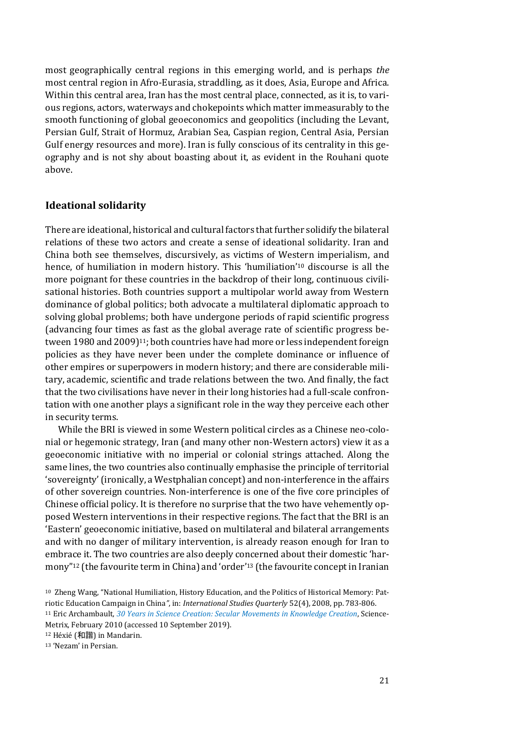most geographically central regions in this emerging world, and is perhaps *the* most central region in Afro-Eurasia, straddling, as it does, Asia, Europe and Africa. Within this central area, Iran has the most central place, connected, as it is, to various regions, actors, waterways and chokepoints which matter immeasurably to the smooth functioning of global geoeconomics and geopolitics (including the Levant, Persian Gulf, Strait of Hormuz, Arabian Sea, Caspian region, Central Asia, Persian Gulf energy resources and more). Iran is fully conscious of its centrality in this geography and is not shy about boasting about it, as evident in the Rouhani quote above.

### **Ideational solidarity**

There are ideational, historical and cultural factors that further solidify the bilateral relations of these two actors and create a sense of ideational solidarity. Iran and China both see themselves, discursively, as victims of Western imperialism, and hence, of humiliation in modern history. This 'humiliation' <sup>10</sup> discourse is all the more poignant for these countries in the backdrop of their long, continuous civilisational histories. Both countries support a multipolar world away from Western dominance of global politics; both advocate a multilateral diplomatic approach to solving global problems; both have undergone periods of rapid scientific progress (advancing four times as fast as the global average rate of scientific progress between 1980 and 2009)<sup>11</sup>; both countries have had more or less independent foreign policies as they have never been under the complete dominance or influence of other empires or superpowers in modern history; and there are considerable military, academic, scientific and trade relations between the two. And finally, the fact that the two civilisations have never in their long histories had a full-scale confrontation with one another plays a significant role in the way they perceive each other in security terms.

While the BRI is viewed in some Western political circles as a Chinese neo-colonial or hegemonic strategy, Iran (and many other non-Western actors) view it as a geoeconomic initiative with no imperial or colonial strings attached. Along the same lines, the two countries also continually emphasise the principle of territorial 'sovereignty'(ironically, a Westphalian concept) and non-interference in the affairs of other sovereign countries. Non-interference is one of the five core principles of Chinese official policy. It is therefore no surprise that the two have vehemently opposed Western interventions in their respective regions. The fact that the BRI is an 'Eastern' geoeconomic initiative, based on multilateral and bilateral arrangements and with no danger of military intervention, is already reason enough for Iran to embrace it. The two countries are also deeply concerned about their domestic 'harmony" <sup>12</sup> (the favourite term in China) and 'order' <sup>13</sup> (the favourite concept in Iranian

<sup>11</sup> Eric Archambault, *[30 Years in Science Creation: Secular Movements in Knowledge Creation](https://www.science-metrix.com/?q=en/30years-Paper.pdf)*, Science-Metrix, February 2010 (accessed 10 September 2019).

<sup>12</sup> Héxié (和諧) in Mandarin.

<sup>13</sup> 'Nezam' in Persian.

<sup>10</sup> Zheng Wang, "National Humiliation, History Education, and the Politics of Historical Memory: Patriotic Education Campaign in China*"*, in: *International Studies Quarterly* 52(4), 2008, pp. 783-806.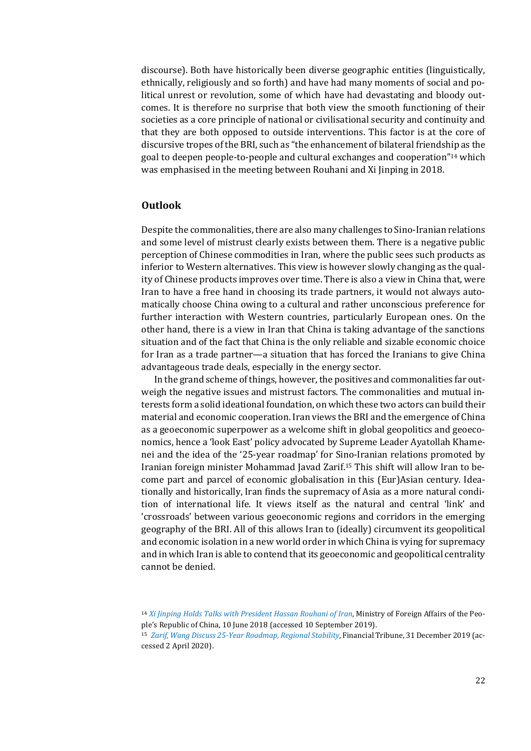discourse). Both have historically been diverse geographic entities (linguistically, ethnically, religiously and so forth) and have had many moments of social and political unrest or revolution, some of which have had devastating and bloody outcomes. It is therefore no surprise that both view the smooth functioning of their societies as a core principle of national or civilisational security and continuity and that they are both opposed to outside interventions. This factor is at the core of discursive tropes of the BRI, such as "the enhancement of bilateral friendship as the goal to deepen people-to-people and cultural exchanges and cooperation" <sup>14</sup> which was emphasised in the meeting between Rouhani and Xi Jinping in 2018.

### **Outlook**

Despite the commonalities, there are also many challenges to Sino-Iranian relations and some level of mistrust clearly exists between them. There is a negative public perception of Chinese commodities in Iran, where the public sees such products as inferior to Western alternatives. This view is however slowly changing as the quality of Chinese products improves over time. There is also a view in China that, were Iran to have a free hand in choosing its trade partners, it would not always automatically choose China owing to a cultural and rather unconscious preference for further interaction with Western countries, particularly European ones. On the other hand, there is a view in Iran that China is taking advantage of the sanctions situation and of the fact that China is the only reliable and sizable economic choice for Iran as a trade partner—a situation that has forced the Iranians to give China advantageous trade deals, especially in the energy sector.

In the grand scheme of things, however, the positives and commonalities far outweigh the negative issues and mistrust factors. The commonalities and mutual interests form a solid ideational foundation, on which these two actors can build their material and economic cooperation. Iran views the BRI and the emergence of China as a geoeconomic superpower as a welcome shift in global geopolitics and geoeconomics, hence a 'look East' policy advocated by Supreme Leader Ayatollah Khamenei and the idea of the '25-year roadmap' for Sino-Iranian relations promoted by Iranian foreign minister Mohammad Javad Zarif. <sup>15</sup> This shift will allow Iran to become part and parcel of economic globalisation in this (Eur)Asian century. Ideationally and historically, Iran finds the supremacy of Asia as a more natural condition of international life. It views itself as the natural and central 'link' and 'crossroads' between various geoeconomic regions and corridors in the emerging geography of the BRI. All of this allows Iran to (ideally) circumvent its geopolitical and economic isolation in a new world order in which China is vying for supremacy and in which Iran is able to contend that its geoeconomic and geopolitical centrality cannot be denied.

<sup>14</sup> *[Xi Jinping Holds Talks with President Hassan Rouhani of Iran](https://www.fmprc.gov.cn/mfa_eng/zxxx_662805/t1568008.shtml)*, Ministry of Foreign Affairs of the People's Republic of China, 10 June 2018 (accessed 10 September 2019).

<sup>15</sup> *[Zarif, Wang Discuss 25-Year Roadmap, Regional Stability](https://financialtribune.com/articles/national/101487/zarif-wang-discuss-25-year-roadmap-regional-stability)*, Financial Tribune, 31 December 2019 (accessed 2 April 2020).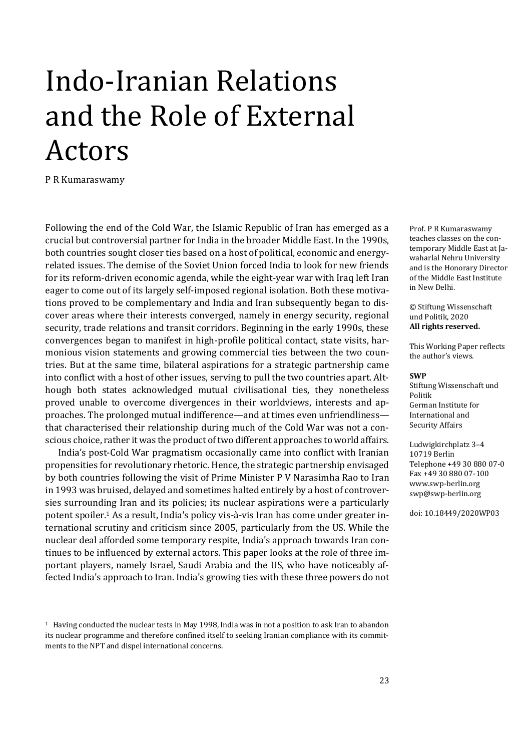# <span id="page-22-0"></span>Indo-Iranian Relations and the Role of External Actors

P R Kumaraswamy

Following the end of the Cold War, the Islamic Republic of Iran has emerged as a crucial but controversial partner for India in the broader Middle East. In the 1990s, both countries sought closer ties based on a host of political, economic and energyrelated issues. The demise of the Soviet Union forced India to look for new friends for its reform-driven economic agenda, while the eight-year war with Iraq left Iran eager to come out of its largely self-imposed regional isolation. Both these motivations proved to be complementary and India and Iran subsequently began to discover areas where their interests converged, namely in energy security, regional security, trade relations and transit corridors. Beginning in the early 1990s, these convergences began to manifest in high-profile political contact, state visits, harmonious vision statements and growing commercial ties between the two countries. But at the same time, bilateral aspirations for a strategic partnership came into conflict with a host of other issues, serving to pull the two countries apart. Although both states acknowledged mutual civilisational ties, they nonetheless proved unable to overcome divergences in their worldviews, interests and approaches. The prolonged mutual indifference—and at times even unfriendliness that characterised their relationship during much of the Cold War was not a conscious choice, rather it was the product of two different approaches to world affairs.

India's post-Cold War pragmatism occasionally came into conflict with Iranian propensities for revolutionary rhetoric. Hence, the strategic partnership envisaged by both countries following the visit of Prime Minister P V Narasimha Rao to Iran in 1993 was bruised, delayed and sometimes halted entirely by a host of controversies surrounding Iran and its policies; its nuclear aspirations were a particularly potent spoiler.<sup>1</sup> As a result, India's policy vis-à-vis Iran has come under greater international scrutiny and criticism since 2005, particularly from the US. While the nuclear deal afforded some temporary respite, India's approach towards Iran continues to be influenced by external actors. This paper looks at the role of three important players, namely Israel, Saudi Arabia and the US, who have noticeably affected India's approach to Iran. India's growing ties with these three powers do not

Prof. P R Kumaraswamy teaches classes on the contemporary Middle East at Jawaharlal Nehru University and is the Honorary Director of the Middle East Institute in New Delhi.

© Stiftung Wissenschaft und Politik, 2020 **All rights reserved.**

This Working Paper reflects the author's views.

#### **SWP**

Stiftung Wissenschaft und Politik German Institute for International and Security Affairs

Ludwigkirchplatz 3–4 10719 Berlin Telephone +49 30 880 07-0 Fax +49 30 880 07-100 [www.swp-berlin.org](http://www.swp-berlin.org/) [swp@swp-berlin.org](mailto:swp@swp-berlin.org)

doi: 10.18449/2020WP03

<sup>1</sup> Having conducted the nuclear tests in May 1998, India was in not a position to ask Iran to abandon its nuclear programme and therefore confined itself to seeking Iranian compliance with its commitments to the NPT and dispel international concerns.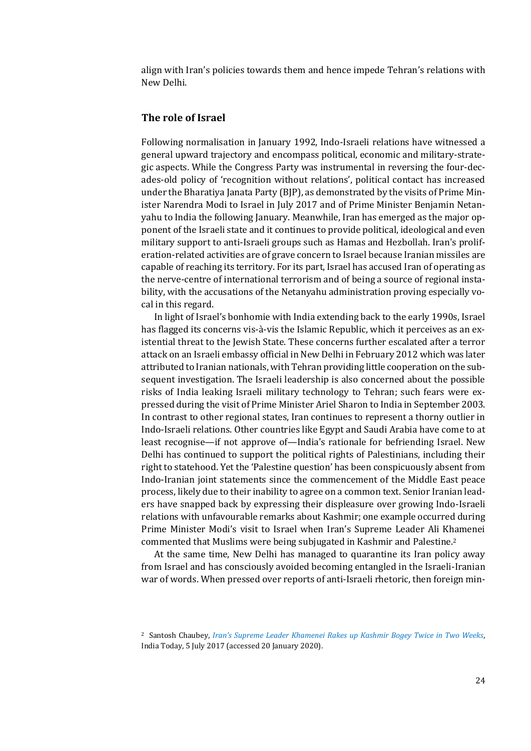align with Iran's policies towards them and hence impede Tehran's relations with New Delhi.

### **The role of Israel**

Following normalisation in January 1992, Indo-Israeli relations have witnessed a general upward trajectory and encompass political, economic and military-strategic aspects. While the Congress Party was instrumental in reversing the four-decades-old policy of 'recognition without relations', political contact has increased under the Bharatiya Janata Party (BJP), as demonstrated by the visits of Prime Minister Narendra Modi to Israel in July 2017 and of Prime Minister Benjamin Netanyahu to India the following January. Meanwhile, Iran has emerged as the major opponent of the Israeli state and it continues to provide political, ideological and even military support to anti-Israeli groups such as Hamas and Hezbollah. Iran's proliferation-related activities are of grave concern to Israel because Iranian missiles are capable of reaching its territory. For its part, Israel has accused Iran of operating as the nerve-centre of international terrorism and of being a source of regional instability, with the accusations of the Netanyahu administration proving especially vocal in this regard.

In light of Israel's bonhomie with India extending back to the early 1990s, Israel has flagged its concerns vis-à-vis the Islamic Republic, which it perceives as an existential threat to the Jewish State. These concerns further escalated after a terror attack on an Israeli embassy official in New Delhi in February 2012 which was later attributed to Iranian nationals, with Tehran providing little cooperation on the subsequent investigation. The Israeli leadership is also concerned about the possible risks of India leaking Israeli military technology to Tehran; such fears were expressed during the visit of Prime Minister Ariel Sharon to India in September 2003. In contrast to other regional states, Iran continues to represent a thorny outlier in Indo-Israeli relations. Other countries like Egypt and Saudi Arabia have come to at least recognise—if not approve of—India's rationale for befriending Israel. New Delhi has continued to support the political rights of Palestinians, including their right to statehood. Yet the 'Palestine question' has been conspicuously absent from Indo-Iranian joint statements since the commencement of the Middle East peace process, likely due to their inability to agree on a common text. Senior Iranian leaders have snapped back by expressing their displeasure over growing Indo-Israeli relations with unfavourable remarks about Kashmir; one example occurred during Prime Minister Modi's visit to Israel when Iran's Supreme Leader Ali Khamenei commented that Muslims were being subjugated in Kashmir and Palestine.<sup>2</sup>

At the same time, New Delhi has managed to quarantine its Iran policy away from Israel and has consciously avoided becoming entangled in the Israeli-Iranian war of words. When pressed over reports of anti-Israeli rhetoric, then foreign min-

<sup>2</sup> Santosh Chaubey, *[Iran's Supreme Leader Khamenei Rakes up Kashmir Bogey Twice in Two Weeks](https://www.indiatoday.in/world/story/irans-supreme-leader-khamenei-rakes-up-kashmir-bogey-twice-in-two-weeks-1022519-2017-07-05)*, India Today, 5 July 2017 (accessed 20 January 2020).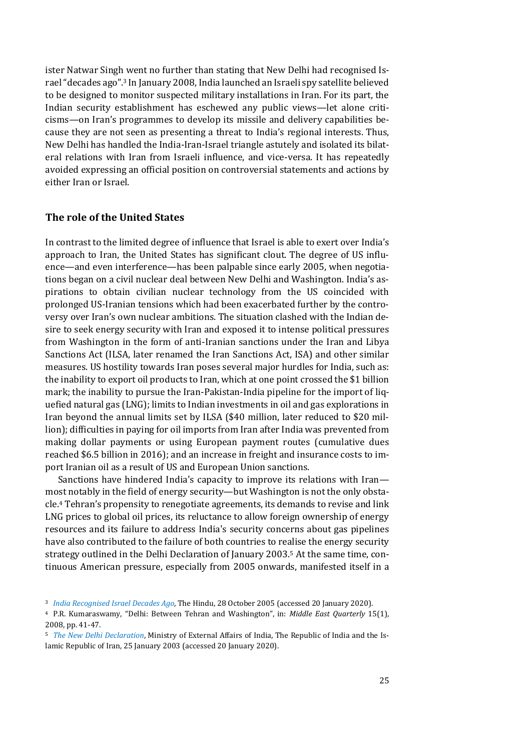ister Natwar Singh went no further than stating that New Delhi had recognised Israel "decades ago".<sup>3</sup> In January 2008, India launched an Israeli spy satellite believed to be designed to monitor suspected military installations in Iran. For its part, the Indian security establishment has eschewed any public views—let alone criticisms—on Iran's programmes to develop its missile and delivery capabilities because they are not seen as presenting a threat to India's regional interests. Thus, New Delhi has handled the India-Iran-Israel triangle astutely and isolated its bilateral relations with Iran from Israeli influence, and vice-versa. It has repeatedly avoided expressing an official position on controversial statements and actions by either Iran or Israel.

### **The role of the United States**

In contrast to the limited degree of influence that Israel is able to exert over India's approach to Iran, the United States has significant clout. The degree of US influence—and even interference—has been palpable since early 2005, when negotiations began on a civil nuclear deal between New Delhi and Washington. India's aspirations to obtain civilian nuclear technology from the US coincided with prolonged US-Iranian tensions which had been exacerbated further by the controversy over Iran's own nuclear ambitions. The situation clashed with the Indian desire to seek energy security with Iran and exposed it to intense political pressures from Washington in the form of anti-Iranian sanctions under the Iran and Libya Sanctions Act (ILSA, later renamed the Iran Sanctions Act, ISA) and other similar measures. US hostility towards Iran poses several major hurdles for India, such as: the inability to export oil products to Iran, which at one point crossed the \$1 billion mark; the inability to pursue the Iran-Pakistan-India pipeline for the import of liquefied natural gas (LNG); limits to Indian investments in oil and gas explorations in Iran beyond the annual limits set by ILSA (\$40 million, later reduced to \$20 million); difficulties in paying for oil imports from Iran after India was prevented from making dollar payments or using European payment routes (cumulative dues reached \$6.5 billion in 2016); and an increase in freight and insurance costs to import Iranian oil as a result of US and European Union sanctions.

Sanctions have hindered India's capacity to improve its relations with Iran most notably in the field of energy security—but Washington is not the only obstacle.<sup>4</sup> Tehran's propensity to renegotiate agreements, its demands to revise and link LNG prices to global oil prices, its reluctance to allow foreign ownership of energy resources and its failure to address India's security concerns about gas pipelines have also contributed to the failure of both countries to realise the energy security strategy outlined in the Delhi Declaration of January 2003.<sup>5</sup> At the same time, continuous American pressure, especially from 2005 onwards, manifested itself in a

<sup>3</sup> *[India Recognised Israel Decades Ago](https://www.thehindu.com/todays-paper/tp-national/india-recognised-israel-decades-ago/article27500111.ece)*, The Hindu, 28 October 2005 (accessed 20 January 2020).

<sup>4</sup> P.R. Kumaraswamy, "Delhi: Between Tehran and Washington", in: *Middle East Quarterly* 15(1), 2008, pp. 41-47.

<sup>5</sup> *[The New Delhi Declaration](https://www.mea.gov.in/bilateral-documents.htm?dtl/7544/The_Republic_of_India_)*, Ministry of External Affairs of India, The Republic of India and the Islamic Republic of Iran, 25 January 2003 (accessed 20 January 2020).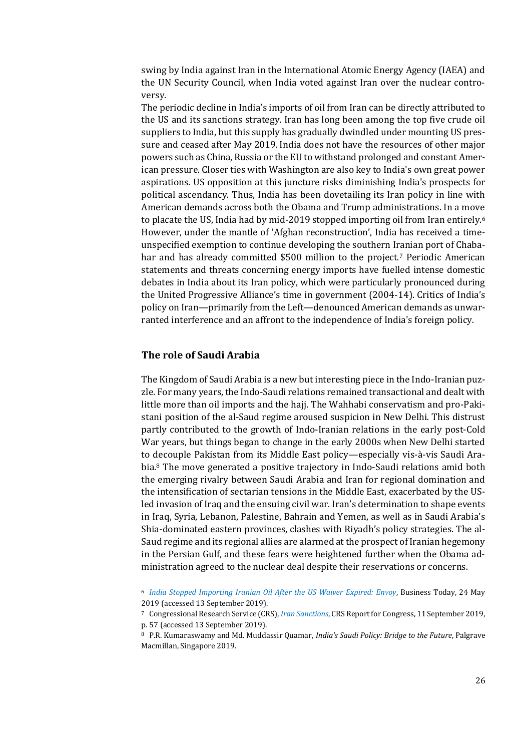swing by India against Iran in the International Atomic Energy Agency (IAEA) and the UN Security Council, when India voted against Iran over the nuclear controversy.

The periodic decline in India's imports of oil from Iran can be directly attributed to the US and its sanctions strategy. Iran has long been among the top five crude oil suppliers to India, but this supply has gradually dwindled under mounting US pressure and ceased after May 2019. India does not have the resources of other major powers such as China, Russia or the EU to withstand prolonged and constant American pressure. Closer ties with Washington are also key to India's own great power aspirations. US opposition at this juncture risks diminishing India's prospects for political ascendancy. Thus, India has been dovetailing its Iran policy in line with American demands across both the Obama and Trump administrations. In a move to placate the US, India had by mid-2019 stopped importing oil from Iran entirely.<sup>6</sup> However, under the mantle of 'Afghan reconstruction', India has received a timeunspecified exemption to continue developing the southern Iranian port of Chabahar and has already committed \$500 million to the project.<sup>7</sup> Periodic American statements and threats concerning energy imports have fuelled intense domestic debates in India about its Iran policy, which were particularly pronounced during the United Progressive Alliance's time in government (2004-14). Critics of India's policy on Iran—primarily from the Left—denounced American demands as unwarranted interference and an affront to the independence of India's foreign policy.

### **The role of Saudi Arabia**

The Kingdom of Saudi Arabia is a new but interesting piece in the Indo-Iranian puzzle. For many years, the Indo-Saudi relations remained transactional and dealt with little more than oil imports and the hajj. The Wahhabi conservatism and pro-Pakistani position of the al-Saud regime aroused suspicion in New Delhi. This distrust partly contributed to the growth of Indo-Iranian relations in the early post-Cold War years, but things began to change in the early 2000s when New Delhi started to decouple Pakistan from its Middle East policy—especially vis-à-vis Saudi Arabia.<sup>8</sup> The move generated a positive trajectory in Indo-Saudi relations amid both the emerging rivalry between Saudi Arabia and Iran for regional domination and the intensification of sectarian tensions in the Middle East, exacerbated by the USled invasion of Iraq and the ensuing civil war. Iran's determination to shape events in Iraq, Syria, Lebanon, Palestine, Bahrain and Yemen, as well as in Saudi Arabia's Shia-dominated eastern provinces, clashes with Riyadh's policy strategies. The al-Saud regime and its regional allies are alarmed at the prospect of Iranian hegemony in the Persian Gulf, and these fears were heightened further when the Obama administration agreed to the nuclear deal despite their reservations or concerns.

<sup>6</sup> *[India Stopped Importing Iranian Oil After the US Waiver Expired: Envoy](https://www.businesstoday.in/current/economy-politics/india-stopped-importing-iranian-oil-after-us-waiver-expired-iran-sanction-oil-economy-trump-us-iran/story/349815.html)*, Business Today, 24 May 2019 (accessed 13 September 2019).

<sup>7</sup> Congressional Research Service (CRS), *[Iran Sanctions](https://fas.org/sgp/crs/mideast/RS20871.pdf)*, CRS Report for Congress, 11 September 2019, p. 57 (accessed 13 September 2019).

<sup>8</sup> P.R. Kumaraswamy and Md. Muddassir Quamar, *India's Saudi Policy: Bridge to the Future*, Palgrave Macmillan, Singapore 2019.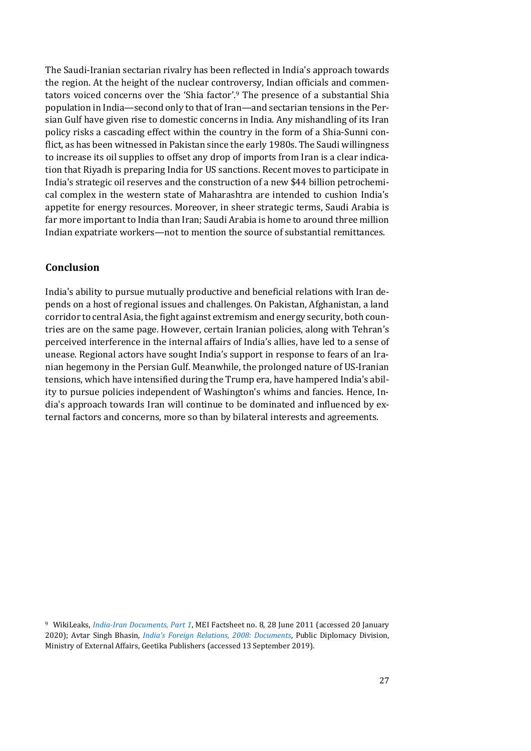The Saudi-Iranian sectarian rivalry has been reflected in India's approach towards the region. At the height of the nuclear controversy, Indian officials and commentators voiced concerns over the 'Shia factor'. <sup>9</sup> The presence of a substantial Shia population in India—second only to that of Iran—and sectarian tensions in the Persian Gulf have given rise to domestic concerns in India. Any mishandling of its Iran policy risks a cascading effect within the country in the form of a Shia-Sunni conflict, as has been witnessed in Pakistan since the early 1980s. The Saudi willingness to increase its oil supplies to offset any drop of imports from Iran is a clear indication that Riyadh is preparing India for US sanctions. Recent moves to participate in India's strategic oil reserves and the construction of a new \$44 billion petrochemical complex in the western state of Maharashtra are intended to cushion India's appetite for energy resources. Moreover, in sheer strategic terms, Saudi Arabia is far more important to India than Iran; Saudi Arabia is home to around three million Indian expatriate workers—not to mention the source of substantial remittances.

### **Conclusion**

India's ability to pursue mutually productive and beneficial relations with Iran depends on a host of regional issues and challenges. On Pakistan, Afghanistan, a land corridor to central Asia, the fight against extremism and energy security, both countries are on the same page. However, certain Iranian policies, along with Tehran's perceived interference in the internal affairs of India's allies, have led to a sense of unease. Regional actors have sought India's support in response to fears of an Iranian hegemony in the Persian Gulf. Meanwhile, the prolonged nature of US-Iranian tensions, which have intensified during the Trump era, have hampered India's ability to pursue policies independent of Washington's whims and fancies. Hence, India's approach towards Iran will continue to be dominated and influenced by external factors and concerns, more so than by bilateral interests and agreements.

<sup>9</sup> WikiLeaks, *[India-Iran Documents, Part 1](http://www.mei.org.in/archives-mei-documents/issue-no-08/mei-1309199400-documents)*, MEI Factsheet no. 8, 28 June 2011 (accessed 20 January 2020); Avtar Singh Bhasin*, [India's Foreign Relations, 2008: Documents](https://mea.gov.in/Uploads/PublicationDocs/177_foreign-relations-2008.pdf)*, Public Diplomacy Division, Ministry of External Affairs, Geetika Publishers (accessed 13 September 2019).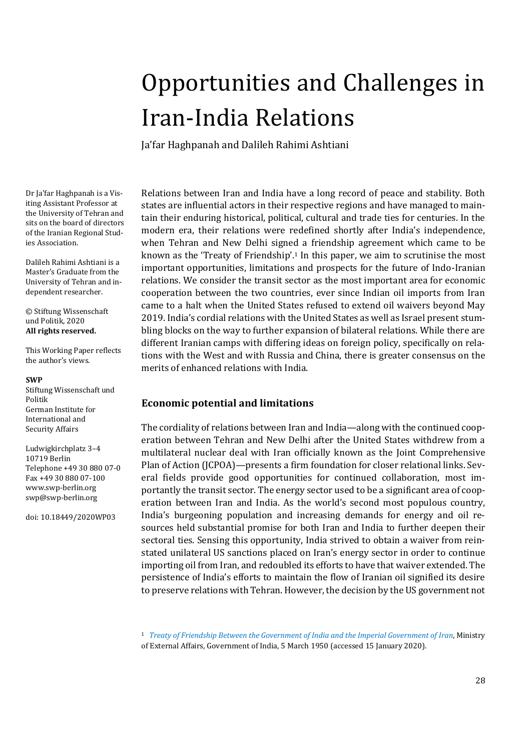# <span id="page-27-0"></span>Opportunities and Challenges in Iran-India Relations

Ja'far Haghpanah and Dalileh Rahimi Ashtiani

Dr Ja'far Haghpanah is a Visiting Assistant Professor at the University of Tehran and sits on the board of directors of the Iranian Regional Studies Association.

Dalileh Rahimi Ashtiani is a Master's Graduate from the University of Tehran and independent researcher.

© Stiftung Wissenschaft und Politik, 2020 **All rights reserved.**

This Working Paper reflects the author's views.

### **SWP**

Stiftung Wissenschaft und Politik German Institute for International and Security Affairs

Ludwigkirchplatz 3–4 10719 Berlin Telephone +49 30 880 07-0 Fax +49 30 880 07-100 [www.swp-berlin.org](http://www.swp-berlin.org/) [swp@swp-berlin.org](mailto:swp@swp-berlin.org)

doi: 10.18449/2020WP03

Relations between Iran and India have a long record of peace and stability. Both states are influential actors in their respective regions and have managed to maintain their enduring historical, political, cultural and trade ties for centuries. In the modern era, their relations were redefined shortly after India's independence, when Tehran and New Delhi signed a friendship agreement which came to be known as the 'Treaty of Friendship'.<sup>1</sup> In this paper, we aim to scrutinise the most important opportunities, limitations and prospects for the future of Indo-Iranian relations. We consider the transit sector as the most important area for economic cooperation between the two countries, ever since Indian oil imports from Iran came to a halt when the United States refused to extend oil waivers beyond May 2019. India's cordial relations with the United States as well as Israel present stumbling blocks on the way to further expansion of bilateral relations. While there are different Iranian camps with differing ideas on foreign policy, specifically on relations with the West and with Russia and China, there is greater consensus on the merits of enhanced relations with India.

## **Economic potential and limitations**

The cordiality of relations between Iran and India—along with the continued cooperation between Tehran and New Delhi after the United States withdrew from a multilateral nuclear deal with Iran officially known as the Joint Comprehensive Plan of Action (JCPOA)—presents a firm foundation for closer relational links. Several fields provide good opportunities for continued collaboration, most importantly the transit sector. The energy sector used to be a significant area of cooperation between Iran and India. As the world's second most populous country, India's burgeoning population and increasing demands for energy and oil resources held substantial promise for both Iran and India to further deepen their sectoral ties. Sensing this opportunity, India strived to obtain a waiver from reinstated unilateral US sanctions placed on Iran's energy sector in order to continue importing oil from Iran, and redoubled its efforts to have that waiver extended. The persistence of India's efforts to maintain the flow of Iranian oil signified its desire to preserve relations with Tehran. However, the decision by the US government not

<sup>1</sup> *[Treaty of Friendship Between the Government of India and the Imperial Government of Iran](https://mea.gov.in/bilateral-documents.htm?dtl/19494/Treaty+of+Friendship)*, Ministry of External Affairs, Government of India, 5 March 1950 (accessed 15 January 2020).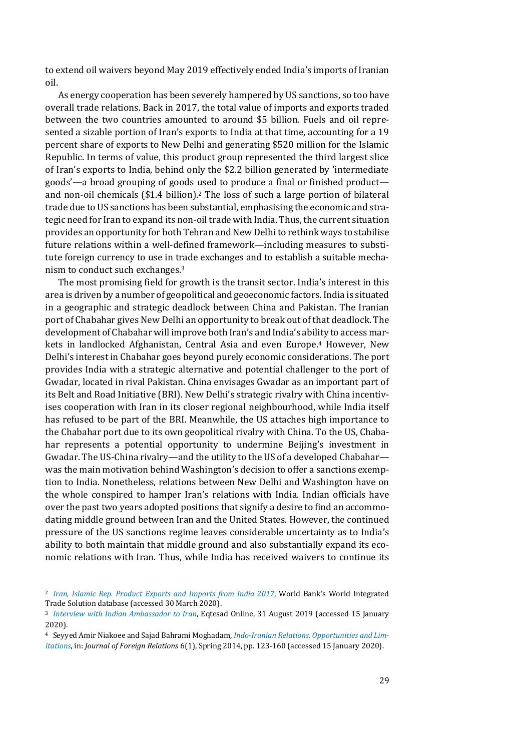to extend oil waivers beyond May 2019 effectively ended India's imports of Iranian oil.

As energy cooperation has been severely hampered by US sanctions, so too have overall trade relations. Back in 2017, the total value of imports and exports traded between the two countries amounted to around \$5 billion. Fuels and oil represented a sizable portion of Iran's exports to India at that time, accounting for a 19 percent share of exports to New Delhi and generating \$520 million for the Islamic Republic. In terms of value, this product group represented the third largest slice of Iran's exports to India, behind only the \$2.2 billion generated by 'intermediate goods'—a broad grouping of goods used to produce a final or finished product and non-oil chemicals (\$1.4 billion).<sup>2</sup> The loss of such a large portion of bilateral trade due to US sanctions has been substantial, emphasising the economic and strategic need for Iran to expand its non-oil trade with India. Thus, the current situation provides an opportunity for both Tehran and New Delhi to rethink ways to stabilise future relations within a well-defined framework—including measures to substitute foreign currency to use in trade exchanges and to establish a suitable mechanism to conduct such exchanges.<sup>3</sup>

The most promising field for growth is the transit sector. India's interest in this area is driven by a number of geopolitical and geoeconomic factors. India is situated in a geographic and strategic deadlock between China and Pakistan. The Iranian port of Chabahar gives New Delhi an opportunity to break out of that deadlock. The development of Chabahar will improve both Iran's and India's ability to access markets in landlocked Afghanistan, Central Asia and even Europe.<sup>4</sup> However, New Delhi's interest in Chabahar goes beyond purely economic considerations. The port provides India with a strategic alternative and potential challenger to the port of Gwadar, located in rival Pakistan. China envisages Gwadar as an important part of its Belt and Road Initiative (BRI). New Delhi's strategic rivalry with China incentivises cooperation with Iran in its closer regional neighbourhood, while India itself has refused to be part of the BRI. Meanwhile, the US attaches high importance to the Chabahar port due to its own geopolitical rivalry with China. To the US, Chabahar represents a potential opportunity to undermine Beijing's investment in Gwadar. The US-China rivalry—and the utility to the US of a developed Chabahar was the main motivation behind Washington's decision to offer a sanctions exemption to India. Nonetheless, relations between New Delhi and Washington have on the whole conspired to hamper Iran's relations with India. Indian officials have over the past two years adopted positions that signify a desire to find an accommodating middle ground between Iran and the United States. However, the continued pressure of the US sanctions regime leaves considerable uncertainty as to India's ability to both maintain that middle ground and also substantially expand its economic relations with Iran. Thus, while India has received waivers to continue its

<sup>2</sup> *[Iran, Islamic Rep. Product Exports and Imports from India 2017](https://wits.worldbank.org/CountryProfile/en/Country/IRN/Year/2017/TradeFlow/EXPIMP/Partner/IND/Product/All-Groups)*, World Bank's World Integrated Trade Solution database (accessed 30 March 2020).

<sup>3</sup> *[Interview with Indian Ambassador to Iran](https://www.eghtesadonline.com/%D8%A8%D8%AE%D8%B4-%D8%A7%D9%86%D8%B1%DA%98%DB%8C-9/377420-%D8%B3%D9%81%DB%8C%D8%B1-%D9%87%D9%86%D8%AF-%D8%A8%D8%A7%DB%8C%D8%AF-%D8%A7%DB%8C%D8%B1%D8%A7%D9%86-%D8%B1%D8%A7-%D8%A8%D9%87-%D8%B9%D9%86%D9%88%D8%A7%D9%86-%D8%B4%D8%B1%DB%8C%DA%A9-%DA%A9%D9%86%D8%A7%D8%B1-%D8%AE%D9%88%D8%AF-%D8%AF%D8%A7%D8%B4%D8%AA%D9%87-%D8%A8%D8%A7%D8%B4%DB%8C%D9%85)*, Eqtesad Online, 31 August 2019 (accessed 15 January 2020).

<sup>4</sup> Seyyed Amir Niakoee and Sajad Bahrami Moghadam, *[Indo-Iranian Relations. Opportunities and Lim](http://ensani.ir/file/download/article/20150429131927-9826-130.pdf)[itations](http://ensani.ir/file/download/article/20150429131927-9826-130.pdf)*, in: *Journal of Foreign Relations* 6(1), Spring 2014, pp. 123-160 (accessed 15 January 2020).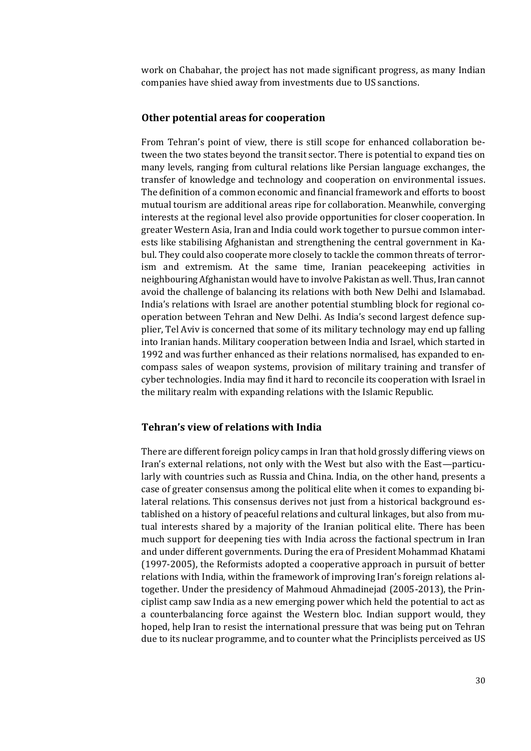work on Chabahar, the project has not made significant progress, as many Indian companies have shied away from investments due to US sanctions.

### **Other potential areas for cooperation**

From Tehran's point of view, there is still scope for enhanced collaboration between the two states beyond the transit sector. There is potential to expand ties on many levels, ranging from cultural relations like Persian language exchanges, the transfer of knowledge and technology and cooperation on environmental issues. The definition of a common economic and financial framework and efforts to boost mutual tourism are additional areas ripe for collaboration. Meanwhile, converging interests at the regional level also provide opportunities for closer cooperation. In greater Western Asia, Iran and India could work together to pursue common interests like stabilising Afghanistan and strengthening the central government in Kabul. They could also cooperate more closely to tackle the common threats of terrorism and extremism. At the same time, Iranian peacekeeping activities in neighbouring Afghanistan would have to involve Pakistan as well. Thus, Iran cannot avoid the challenge of balancing its relations with both New Delhi and Islamabad. India's relations with Israel are another potential stumbling block for regional cooperation between Tehran and New Delhi. As India's second largest defence supplier, Tel Aviv is concerned that some of its military technology may end up falling into Iranian hands. Military cooperation between India and Israel, which started in 1992 and was further enhanced as their relations normalised, has expanded to encompass sales of weapon systems, provision of military training and transfer of cyber technologies. India may find it hard to reconcile its cooperation with Israel in the military realm with expanding relations with the Islamic Republic.

### **Tehran's view of relations with India**

There are different foreign policy camps in Iran that hold grossly differing views on Iran's external relations, not only with the West but also with the East—particularly with countries such as Russia and China. India, on the other hand, presents a case of greater consensus among the political elite when it comes to expanding bilateral relations. This consensus derives not just from a historical background established on a history of peaceful relations and cultural linkages, but also from mutual interests shared by a majority of the Iranian political elite. There has been much support for deepening ties with India across the factional spectrum in Iran and under different governments. During the era of President Mohammad Khatami (1997-2005), the Reformists adopted a cooperative approach in pursuit of better relations with India, within the framework of improving Iran's foreign relations altogether. Under the presidency of Mahmoud Ahmadinejad (2005-2013), the Principlist camp saw India as a new emerging power which held the potential to act as a counterbalancing force against the Western bloc. Indian support would, they hoped, help Iran to resist the international pressure that was being put on Tehran due to its nuclear programme, and to counter what the Principlists perceived as US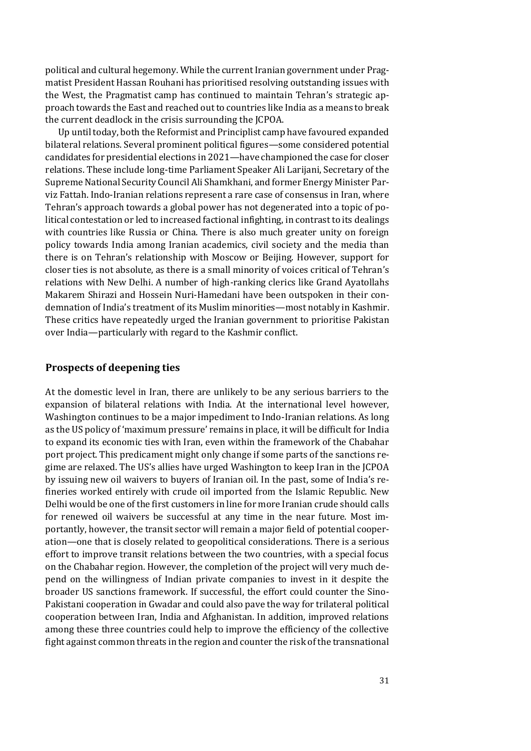political and cultural hegemony. While the current Iranian government under Pragmatist President Hassan Rouhani has prioritised resolving outstanding issues with the West, the Pragmatist camp has continued to maintain Tehran's strategic approach towards the East and reached out to countries like India as a means to break the current deadlock in the crisis surrounding the JCPOA.

Up until today, both the Reformist and Principlist camp have favoured expanded bilateral relations. Several prominent political figures—some considered potential candidates for presidential elections in 2021—have championed the case for closer relations. These include long-time Parliament Speaker Ali Larijani, Secretary of the Supreme National Security Council Ali Shamkhani, and former Energy Minister Parviz Fattah. Indo-Iranian relations represent a rare case of consensus in Iran, where Tehran's approach towards a global power has not degenerated into a topic of political contestation or led to increased factional infighting, in contrast to its dealings with countries like Russia or China. There is also much greater unity on foreign policy towards India among Iranian academics, civil society and the media than there is on Tehran's relationship with Moscow or Beijing. However, support for closer ties is not absolute, as there is a small minority of voices critical of Tehran's relations with New Delhi. A number of high-ranking clerics like Grand Ayatollahs Makarem Shirazi and Hossein Nuri-Hamedani have been outspoken in their condemnation of India's treatment of its Muslim minorities—most notably in Kashmir. These critics have repeatedly urged the Iranian government to prioritise Pakistan over India—particularly with regard to the Kashmir conflict.

### **Prospects of deepening ties**

At the domestic level in Iran, there are unlikely to be any serious barriers to the expansion of bilateral relations with India. At the international level however, Washington continues to be a major impediment to Indo-Iranian relations. As long as the US policy of 'maximum pressure' remains in place, it will be difficult for India to expand its economic ties with Iran, even within the framework of the Chabahar port project. This predicament might only change if some parts of the sanctions regime are relaxed. The US's allies have urged Washington to keep Iran in the JCPOA by issuing new oil waivers to buyers of Iranian oil. In the past, some of India's refineries worked entirely with crude oil imported from the Islamic Republic. New Delhi would be one of the first customers in line for more Iranian crude should calls for renewed oil waivers be successful at any time in the near future. Most importantly, however, the transit sector will remain a major field of potential cooperation—one that is closely related to geopolitical considerations. There is a serious effort to improve transit relations between the two countries, with a special focus on the Chabahar region. However, the completion of the project will very much depend on the willingness of Indian private companies to invest in it despite the broader US sanctions framework. If successful, the effort could counter the Sino-Pakistani cooperation in Gwadar and could also pave the way for trilateral political cooperation between Iran, India and Afghanistan. In addition, improved relations among these three countries could help to improve the efficiency of the collective fight against common threats in the region and counter the risk of the transnational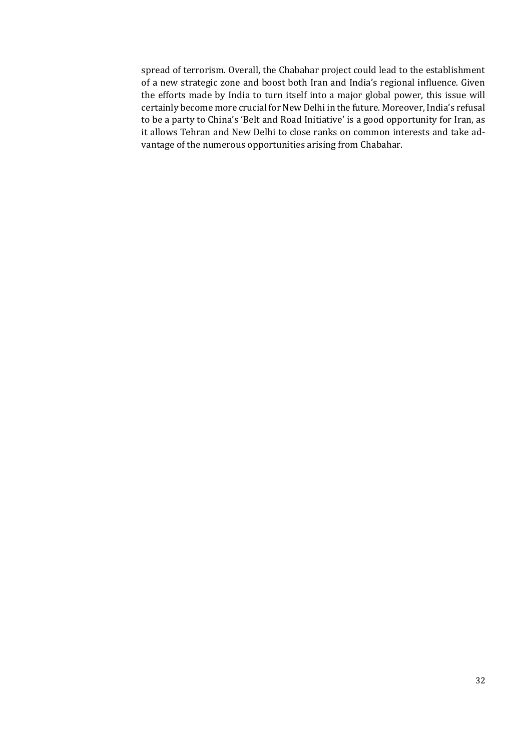spread of terrorism. Overall, the Chabahar project could lead to the establishment of a new strategic zone and boost both Iran and India's regional influence. Given the efforts made by India to turn itself into a major global power, this issue will certainly become more crucial for New Delhi in the future. Moreover, India's refusal to be a party to China's 'Belt and Road Initiative' is a good opportunity for Iran, as it allows Tehran and New Delhi to close ranks on common interests and take advantage of the numerous opportunities arising from Chabahar.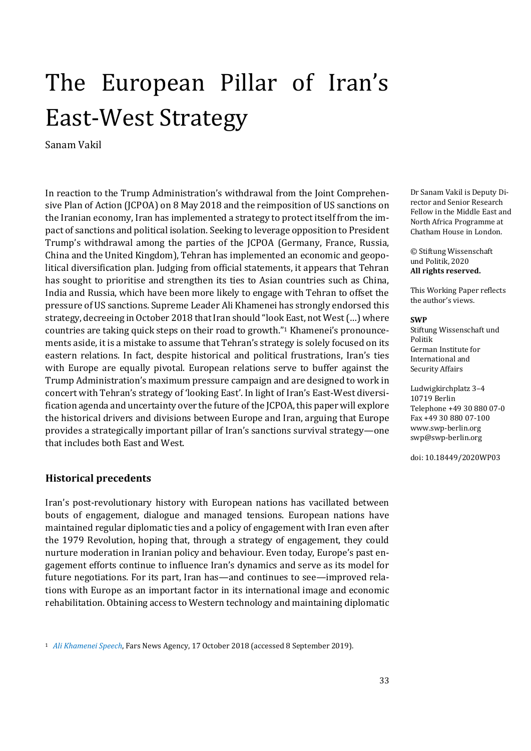# <span id="page-32-0"></span>The European Pillar of Iran's East-West Strategy

Sanam Vakil

In reaction to the Trump Administration's withdrawal from the Joint Comprehensive Plan of Action (JCPOA) on 8 May 2018 and the reimposition of US sanctions on the Iranian economy, Iran has implemented a strategy to protect itself from the impact of sanctions and political isolation. Seeking to leverage opposition to President Trump's withdrawal among the parties of the JCPOA (Germany, France, Russia, China and the United Kingdom), Tehran has implemented an economic and geopolitical diversification plan. Judging from official statements, it appears that Tehran has sought to prioritise and strengthen its ties to Asian countries such as China, India and Russia, which have been more likely to engage with Tehran to offset the pressure of US sanctions. Supreme Leader Ali Khamenei has strongly endorsed this strategy, decreeing in October 2018 that Iran should "look East, not West (…) where countries are taking quick steps on their road to growth."<sup>1</sup> Khamenei's pronouncements aside, it is a mistake to assume that Tehran's strategy is solely focused on its eastern relations. In fact, despite historical and political frustrations, Iran's ties with Europe are equally pivotal. European relations serve to buffer against the Trump Administration's maximum pressure campaign and are designed to work in concert with Tehran's strategy of 'looking East'. In light of Iran's East-West diversification agenda and uncertainty over the future of the JCPOA, this paper will explore the historical drivers and divisions between Europe and Iran, arguing that Europe provides a strategically important pillar of Iran's sanctions survival strategy—one that includes both East and West.

### **Historical precedents**

Iran's post-revolutionary history with European nations has vacillated between bouts of engagement, dialogue and managed tensions. European nations have maintained regular diplomatic ties and a policy of engagement with Iran even after the 1979 Revolution, hoping that, through a strategy of engagement, they could nurture moderation in Iranian policy and behaviour. Even today, Europe's past engagement efforts continue to influence Iran's dynamics and serve as its model for future negotiations. For its part, Iran has—and continues to see—improved relations with Europe as an important factor in its international image and economic rehabilitation. Obtaining access to Western technology and maintaining diplomatic

Dr Sanam Vakil is Deputy Director and Senior Research Fellow in the Middle East and North Africa Programme at Chatham House in London.

© Stiftung Wissenschaft und Politik, 2020 **All rights reserved.**

This Working Paper reflects the author's views.

#### **SWP**

Stiftung Wissenschaft und Politik German Institute for International and Security Affairs

Ludwigkirchplatz 3–4 10719 Berlin Telephone +49 30 880 07-0 Fax +49 30 880 07-100 [www.swp-berlin.org](http://www.swp-berlin.org/) [swp@swp-berlin.org](mailto:swp@swp-berlin.org)

doi: 10.18449/2020WP03

<sup>1</sup> *[Ali Khamenei Speech](https://www.farsnews.com/news/13970725000631/)*, Fars News Agency, 17 October 2018 (accessed 8 September 2019).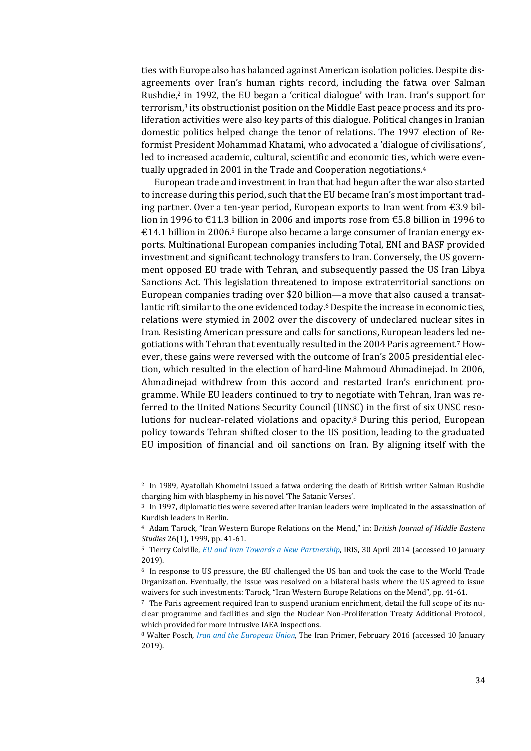ties with Europe also has balanced against American isolation policies. Despite disagreements over Iran's human rights record, including the fatwa over Salman Rushdie,<sup>2</sup> in 1992, the EU began a 'critical dialogue' with Iran. Iran's support for terrorism, <sup>3</sup> its obstructionist position on the Middle East peace process and its proliferation activities were also key parts of this dialogue. Political changes in Iranian domestic politics helped change the tenor of relations. The 1997 election of Reformist President Mohammad Khatami, who advocated a 'dialogue of civilisations', led to increased academic, cultural, scientific and economic ties, which were eventually upgraded in 2001 in the Trade and Cooperation negotiations.<sup>4</sup>

European trade and investment in Iran that had begun after the war also started to increase during this period, such that the EU became Iran's most important trading partner. Over a ten-year period, European exports to Iran went from €3.9 billion in 1996 to  $\text{\textsterling}11.3$  billion in 2006 and imports rose from  $\text{\textsterling}5.8$  billion in 1996 to  $\epsilon$ 14.1 billion in 2006.<sup>5</sup> Europe also became a large consumer of Iranian energy exports. Multinational European companies including Total, ENI and BASF provided investment and significant technology transfers to Iran. Conversely, the US government opposed EU trade with Tehran, and subsequently passed the US Iran Libya Sanctions Act. This legislation threatened to impose extraterritorial sanctions on European companies trading over \$20 billion—a move that also caused a transatlantic rift similar to the one evidenced today.<sup>6</sup> Despite the increase in economic ties, relations were stymied in 2002 over the discovery of undeclared nuclear sites in Iran. Resisting American pressure and calls for sanctions, European leaders led negotiations with Tehran that eventually resulted in the 2004 Paris agreement.<sup>7</sup> However, these gains were reversed with the outcome of Iran's 2005 presidential election, which resulted in the election of hard-line Mahmoud Ahmadinejad. In 2006, Ahmadinejad withdrew from this accord and restarted Iran's enrichment programme. While EU leaders continued to try to negotiate with Tehran, Iran was referred to the United Nations Security Council (UNSC) in the first of six UNSC resolutions for nuclear-related violations and opacity.<sup>8</sup> During this period, European policy towards Tehran shifted closer to the US position, leading to the graduated EU imposition of financial and oil sanctions on Iran. By aligning itself with the

<sup>2</sup> In 1989, Ayatollah Khomeini issued a fatwa ordering the death of British writer Salman Rushdie charging him with blasphemy in his novel 'The Satanic Verses'.

<sup>3</sup> In 1997, diplomatic ties were severed after Iranian leaders were implicated in the assassination of Kurdish leaders in Berlin.

<sup>4</sup> Adam Tarock, "Iran Western Europe Relations on the Mend," in: B*ritish Journal of Middle Eastern Studies* 26(1), 1999, pp. 41-61.

<sup>5</sup> Tierry Colville, *[EU and Iran Towards a New Partnership](http://www.iris-france.org/44347-eu-and-iran-towards-a-new-partnership/)*, IRIS, 30 April 2014 (accessed 10 January 2019).

<sup>6</sup> In response to US pressure, the EU challenged the US ban and took the case to the World Trade Organization. Eventually, the issue was resolved on a bilateral basis where the US agreed to issue waivers for such investments: Tarock, "Iran Western Europe Relations on the Mend", pp. 41-61.

<sup>7</sup> The Paris agreement required Iran to suspend uranium enrichment, detail the full scope of its nuclear programme and facilities and sign the Nuclear Non-Proliferation Treaty Additional Protocol, which provided for more intrusive IAEA inspections.

<sup>8</sup> Walter Posch, *[Iran and the European Union](https://iranprimer.usip.org/resource/iran-and-european-union)*, The Iran Primer, February 2016 (accessed 10 January 2019).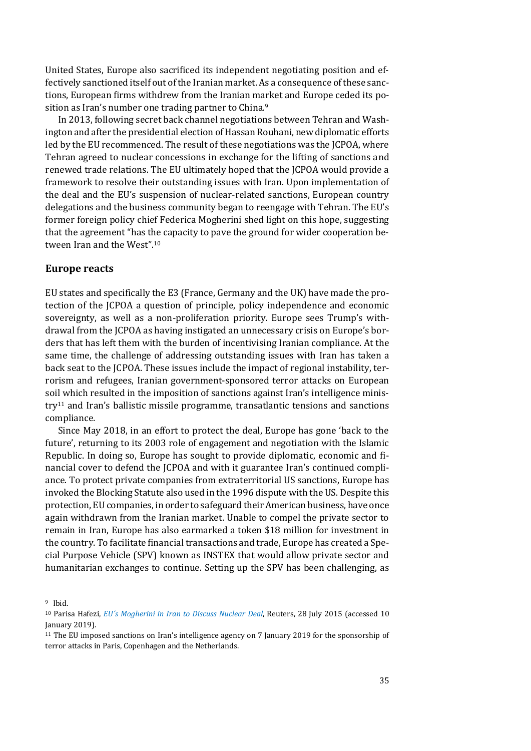United States, Europe also sacrificed its independent negotiating position and effectively sanctioned itself out of the Iranian market. As a consequence of these sanctions, European firms withdrew from the Iranian market and Europe ceded its position as Iran's number one trading partner to China.<sup>9</sup>

In 2013, following secret back channel negotiations between Tehran and Washington and after the presidential election of Hassan Rouhani, new diplomatic efforts led by the EU recommenced. The result of these negotiations was the JCPOA, where Tehran agreed to nuclear concessions in exchange for the lifting of sanctions and renewed trade relations. The EU ultimately hoped that the JCPOA would provide a framework to resolve their outstanding issues with Iran. Upon implementation of the deal and the EU's suspension of nuclear-related sanctions, European country delegations and the business community began to reengage with Tehran. The EU's former foreign policy chief Federica Mogherini shed light on this hope, suggesting that the agreement "has the capacity to pave the ground for wider cooperation between Iran and the West".<sup>10</sup>

### **Europe reacts**

EU states and specifically the E3 (France, Germany and the UK) have made the protection of the JCPOA a question of principle, policy independence and economic sovereignty, as well as a non-proliferation priority. Europe sees Trump's withdrawal from the JCPOA as having instigated an unnecessary crisis on Europe's borders that has left them with the burden of incentivising Iranian compliance. At the same time, the challenge of addressing outstanding issues with Iran has taken a back seat to the JCPOA. These issues include the impact of regional instability, terrorism and refugees, Iranian government-sponsored terror attacks on European soil which resulted in the imposition of sanctions against Iran's intelligence ministry<sup>11</sup> and Iran's ballistic missile programme, transatlantic tensions and sanctions compliance.

Since May 2018, in an effort to protect the deal, Europe has gone 'back to the future', returning to its 2003 role of engagement and negotiation with the Islamic Republic. In doing so, Europe has sought to provide diplomatic, economic and financial cover to defend the JCPOA and with it guarantee Iran's continued compliance. To protect private companies from extraterritorial US sanctions, Europe has invoked the Blocking Statute also used in the 1996 dispute with the US. Despite this protection, EU companies, in order to safeguard their American business, have once again withdrawn from the Iranian market. Unable to compel the private sector to remain in Iran, Europe has also earmarked a token \$18 million for investment in the country. To facilitate financial transactions and trade, Europe has created a Special Purpose Vehicle (SPV) known as INSTEX that would allow private sector and humanitarian exchanges to continue. Setting up the SPV has been challenging, as

<sup>9</sup> Ibid.

<sup>10</sup> Parisa Hafezi, *[EU´s Mogherini in Iran to Discuss Nuclear Deal](https://www.reuters.com/article/us-iran-nuclear-mogherini-idUSKCN0Q21DP20150728)*, Reuters, 28 July 2015 (accessed 10 January 2019).

<sup>11</sup> The EU imposed sanctions on Iran's intelligence agency on 7 January 2019 for the sponsorship of terror attacks in Paris, Copenhagen and the Netherlands.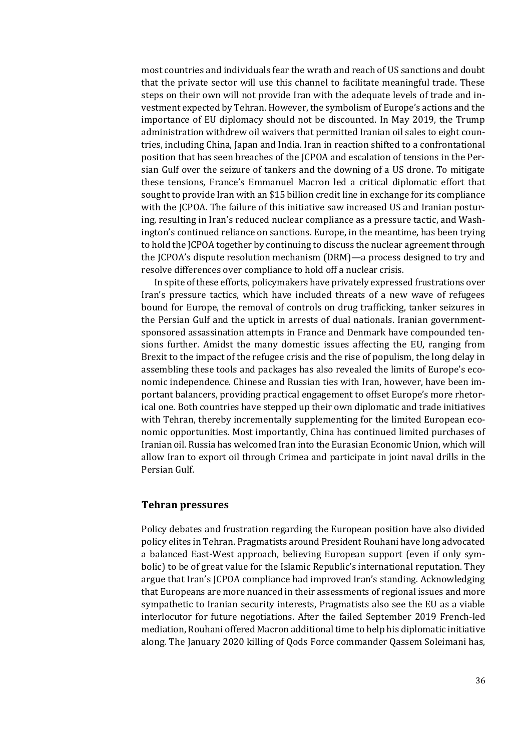most countries and individuals fear the wrath and reach of US sanctions and doubt that the private sector will use this channel to facilitate meaningful trade. These steps on their own will not provide Iran with the adequate levels of trade and investment expected by Tehran. However, the symbolism of Europe's actions and the importance of EU diplomacy should not be discounted. In May 2019, the Trump administration withdrew oil waivers that permitted Iranian oil sales to eight countries, including China, Japan and India. Iran in reaction shifted to a confrontational position that has seen breaches of the JCPOA and escalation of tensions in the Persian Gulf over the seizure of tankers and the downing of a US drone. To mitigate these tensions, France's Emmanuel Macron led a critical diplomatic effort that sought to provide Iran with an \$15 billion credit line in exchange for its compliance with the JCPOA. The failure of this initiative saw increased US and Iranian posturing, resulting in Iran's reduced nuclear compliance as a pressure tactic, and Washington's continued reliance on sanctions. Europe, in the meantime, has been trying to hold the JCPOA together by continuing to discuss the nuclear agreement through the JCPOA's dispute resolution mechanism (DRM)—a process designed to try and resolve differences over compliance to hold off a nuclear crisis.

In spite of these efforts, policymakers have privately expressed frustrations over Iran's pressure tactics, which have included threats of a new wave of refugees bound for Europe, the removal of controls on drug trafficking, tanker seizures in the Persian Gulf and the uptick in arrests of dual nationals. Iranian governmentsponsored assassination attempts in France and Denmark have compounded tensions further. Amidst the many domestic issues affecting the EU, ranging from Brexit to the impact of the refugee crisis and the rise of populism, the long delay in assembling these tools and packages has also revealed the limits of Europe's economic independence. Chinese and Russian ties with Iran, however, have been important balancers, providing practical engagement to offset Europe's more rhetorical one. Both countries have stepped up their own diplomatic and trade initiatives with Tehran, thereby incrementally supplementing for the limited European economic opportunities. Most importantly, China has continued limited purchases of Iranian oil. Russia has welcomed Iran into the Eurasian Economic Union, which will allow Iran to export oil through Crimea and participate in joint naval drills in the Persian Gulf.

### **Tehran pressures**

Policy debates and frustration regarding the European position have also divided policy elites in Tehran. Pragmatists around President Rouhani have long advocated a balanced East-West approach, believing European support (even if only symbolic) to be of great value for the Islamic Republic's international reputation. They argue that Iran's JCPOA compliance had improved Iran's standing. Acknowledging that Europeans are more nuanced in their assessments of regional issues and more sympathetic to Iranian security interests, Pragmatists also see the EU as a viable interlocutor for future negotiations. After the failed September 2019 French-led mediation, Rouhani offered Macron additional time to help his diplomatic initiative along. The January 2020 killing of Qods Force commander Qassem Soleimani has,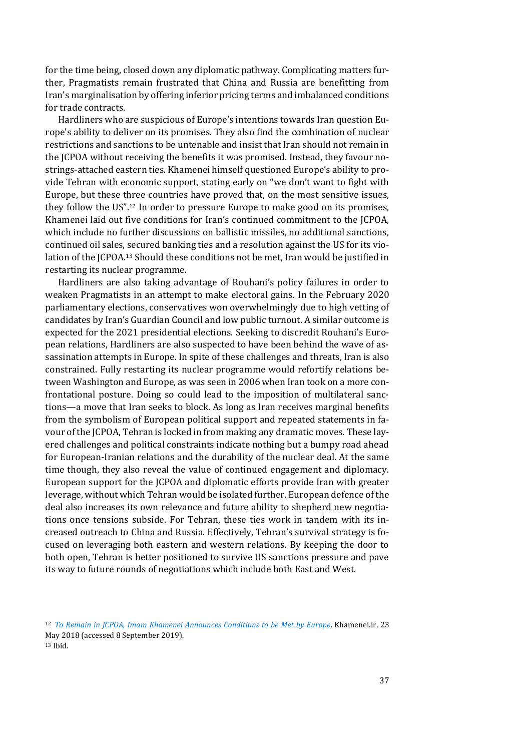for the time being, closed down any diplomatic pathway. Complicating matters further, Pragmatists remain frustrated that China and Russia are benefitting from Iran's marginalisation by offering inferior pricing terms and imbalanced conditions for trade contracts.

Hardliners who are suspicious of Europe's intentions towards Iran question Europe's ability to deliver on its promises. They also find the combination of nuclear restrictions and sanctions to be untenable and insist that Iran should not remain in the JCPOA without receiving the benefits it was promised. Instead, they favour nostrings-attached eastern ties. Khamenei himself questioned Europe's ability to provide Tehran with economic support, stating early on "we don't want to fight with Europe, but these three countries have proved that, on the most sensitive issues, they follow the US". <sup>12</sup> In order to pressure Europe to make good on its promises, Khamenei laid out five conditions for Iran's continued commitment to the JCPOA, which include no further discussions on ballistic missiles, no additional sanctions, continued oil sales, secured banking ties and a resolution against the US for its violation of the JCPOA.<sup>13</sup> Should these conditions not be met, Iran would be justified in restarting its nuclear programme.

Hardliners are also taking advantage of Rouhani's policy failures in order to weaken Pragmatists in an attempt to make electoral gains. In the February 2020 parliamentary elections, conservatives won overwhelmingly due to high vetting of candidates by Iran's Guardian Council and low public turnout. A similar outcome is expected for the 2021 presidential elections. Seeking to discredit Rouhani's European relations, Hardliners are also suspected to have been behind the wave of assassination attempts in Europe. In spite of these challenges and threats, Iran is also constrained. Fully restarting its nuclear programme would refortify relations between Washington and Europe, as was seen in 2006 when Iran took on a more confrontational posture. Doing so could lead to the imposition of multilateral sanctions—a move that Iran seeks to block. As long as Iran receives marginal benefits from the symbolism of European political support and repeated statements in favour of the JCPOA, Tehran is locked in from making any dramatic moves. These layered challenges and political constraints indicate nothing but a bumpy road ahead for European-Iranian relations and the durability of the nuclear deal. At the same time though, they also reveal the value of continued engagement and diplomacy. European support for the JCPOA and diplomatic efforts provide Iran with greater leverage, without which Tehran would be isolated further. European defence of the deal also increases its own relevance and future ability to shepherd new negotiations once tensions subside. For Tehran, these ties work in tandem with its increased outreach to China and Russia. Effectively, Tehran's survival strategy is focused on leveraging both eastern and western relations. By keeping the door to both open, Tehran is better positioned to survive US sanctions pressure and pave its way to future rounds of negotiations which include both East and West.

<sup>12</sup> *[To Remain in JCPOA, Imam Khamenei Announces Conditions to be Met by Europe,](http://english.khamenei.ir/news/5696/To-remain-in-JCPOA-Imam-Khamenei-announces-conditions-to-be)* Khamenei.ir, 23 May 2018 (accessed 8 September 2019). <sup>13</sup> Ibid.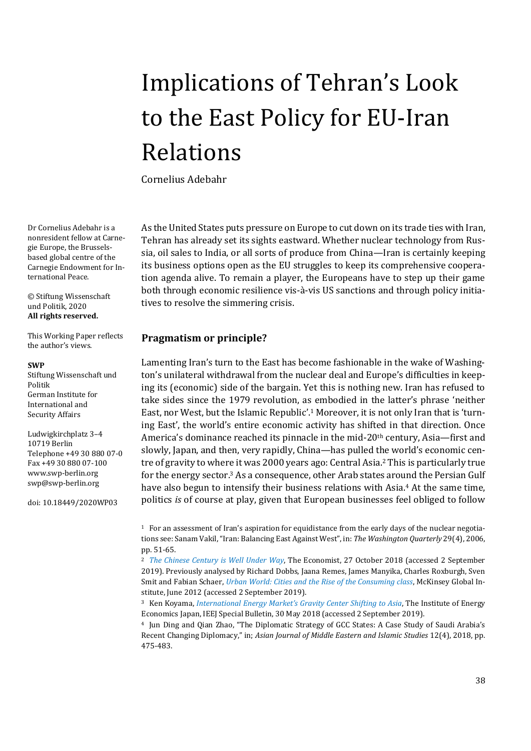# <span id="page-37-0"></span>Implications of Tehran's Look to the East Policy for EU-Iran Relations

Cornelius Adebahr

Dr Cornelius Adebahr is a nonresident fellow at Carnegie Europe, the Brusselsbased global centre of the Carnegie Endowment for International Peace.

© Stiftung Wissenschaft und Politik, 2020 **All rights reserved.**

This Working Paper reflects the author's views.

### **SWP**

Stiftung Wissenschaft und Politik German Institute for International and Security Affairs

Ludwigkirchplatz 3–4 10719 Berlin Telephone +49 30 880 07-0 Fax +49 30 880 07-100 [www.swp-berlin.org](http://www.swp-berlin.org/) [swp@swp-berlin.org](mailto:swp@swp-berlin.org)

doi: 10.18449/2020WP03

As the United States puts pressure on Europe to cut down on its trade ties with Iran, Tehran has already set its sights eastward. Whether nuclear technology from Russia, oil sales to India, or all sorts of produce from China—Iran is certainly keeping its business options open as the EU struggles to keep its comprehensive cooperation agenda alive. To remain a player, the Europeans have to step up their game both through economic resilience vis-à-vis US sanctions and through policy initiatives to resolve the simmering crisis.

### **Pragmatism or principle?**

Lamenting Iran's turn to the East has become fashionable in the wake of Washington's unilateral withdrawal from the nuclear deal and Europe's difficulties in keeping its (economic) side of the bargain. Yet this is nothing new. Iran has refused to take sides since the 1979 revolution, as embodied in the latter's phrase 'neither East, nor West, but the Islamic Republic'. <sup>1</sup> Moreover, it is not only Iran that is 'turning East', the world's entire economic activity has shifted in that direction. Once America's dominance reached its pinnacle in the mid-20<sup>th</sup> century, Asia—first and slowly, Japan, and then, very rapidly, China—has pulled the world's economic centre of gravity to where it was 2000 years ago: Central Asia. <sup>2</sup> This is particularly true for the energy sector.<sup>3</sup> As a consequence, other Arab states around the Persian Gulf have also begun to intensify their business relations with Asia. <sup>4</sup> At the same time, politics *is* of course at play, given that European businesses feel obliged to follow

<sup>1</sup> For an assessment of Iran's aspiration for equidistance from the early days of the nuclear negotiations see: Sanam Vakil, "Iran: Balancing East Against West", in: *The Washington Quarterly* 29(4), 2006, pp. 51-65.

<sup>2</sup> *[The Chinese Century is Well Under Way](https://www.economist.com/graphic-detail/2018/10/27/the-chinese-century-is-well-under-way)*, The Economist, 27 October 2018 (accessed 2 September 2019). Previously analysed by Richard Dobbs, Jaana Remes, James Manyika, Charles Roxburgh, Sven Smit and Fabian Schaer, *[Urban World: Cities and the Rise of the Consuming class](https://www.mckinsey.com/featured-insights/urbanization/urban-world-cities-and-the-rise-of-the-consuming-class)*, McKinsey Global Institute, June 2012 (accessed 2 September 2019).

<sup>3</sup> Ken Koyama, *[International Energy Market's Gravity Center Shifting to Asia](https://eneken.ieej.or.jp/data/7920.pdf)*, The Institute of Energy Economics Japan, IEEJ Special Bulletin, 30 May 2018 (accessed 2 September 2019).

<sup>4</sup> Jun Ding and Qian Zhao, "The Diplomatic Strategy of GCC States: A Case Study of Saudi Arabia's Recent Changing Diplomacy," in; *Asian Journal of Middle Eastern and Islamic Studies* 12(4), 2018, pp. 475-483.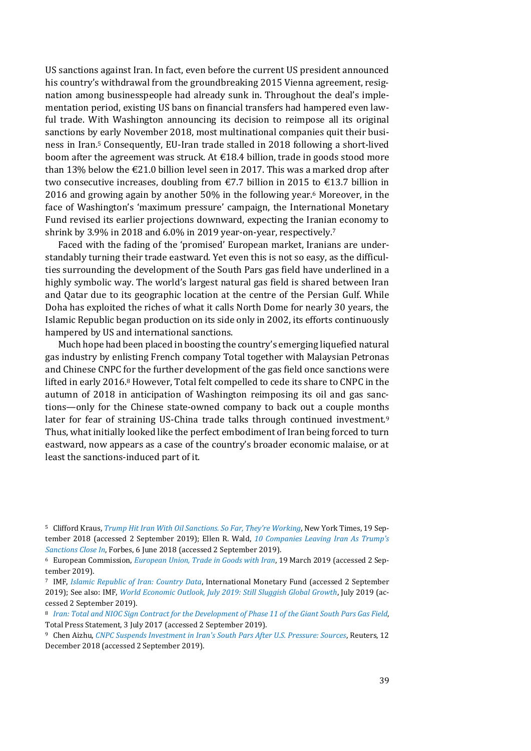US sanctions against Iran. In fact, even before the current US president announced his country's withdrawal from the groundbreaking 2015 Vienna agreement, resignation among businesspeople had already sunk in. Throughout the deal's implementation period, existing US bans on financial transfers had hampered even lawful trade. With Washington announcing its decision to reimpose all its original sanctions by early November 2018, most multinational companies quit their business in Iran. <sup>5</sup> Consequently, EU-Iran trade stalled in 2018 following a short-lived boom after the agreement was struck. At  $\text{\textsterling}18.4$  billion, trade in goods stood more than 13% below the  $\epsilon$ 21.0 billion level seen in 2017. This was a marked drop after two consecutive increases, doubling from  $\epsilon$ 7.7 billion in 2015 to  $\epsilon$ 13.7 billion in 2016 and growing again by another 50% in the following year.<sup>6</sup> Moreover, in the face of Washington's 'maximum pressure' campaign, the International Monetary Fund revised its earlier projections downward, expecting the Iranian economy to shrink by 3.9% in 2018 and 6.0% in 2019 year-on-year, respectively.<sup>7</sup>

Faced with the fading of the 'promised' European market, Iranians are understandably turning their trade eastward. Yet even this is not so easy, as the difficulties surrounding the development of the South Pars gas field have underlined in a highly symbolic way. The world's largest natural gas field is shared between Iran and Qatar due to its geographic location at the centre of the Persian Gulf. While Doha has exploited the riches of what it calls North Dome for nearly 30 years, the Islamic Republic began production on its side only in 2002, its efforts continuously hampered by US and international sanctions.

Much hope had been placed in boosting the country's emerging liquefied natural gas industry by enlisting French company Total together with Malaysian Petronas and Chinese CNPC for the further development of the gas field once sanctions were lifted in early 2016.<sup>8</sup> However, Total felt compelled to cede its share to CNPC in the autumn of 2018 in anticipation of Washington reimposing its oil and gas sanctions—only for the Chinese state-owned company to back out a couple months later for fear of straining US-China trade talks through continued investment.<sup>9</sup> Thus, what initially looked like the perfect embodiment of Iran being forced to turn eastward, now appears as a case of the country's broader economic malaise, or at least the sanctions-induced part of it.

<sup>5</sup> Clifford Kraus, *[Trump Hit Iran With Oil Sanctions. So Far, They're Working](https://www.nytimes.com/2018/09/19/business/energy-environment/iran-oil-sanctions.html)*, New York Times, 19 September 2018 (accessed 2 September 2019); Ellen R. Wald, *[10 Companies Leaving Iran As Trump's](https://www.forbes.com/sites/ellenrwald/2018/06/06/10-companies-leaving-iran-as-trumps-sanctions-close-in/)  [Sanctions Close In](https://www.forbes.com/sites/ellenrwald/2018/06/06/10-companies-leaving-iran-as-trumps-sanctions-close-in/)*, Forbes, 6 June 2018 (accessed 2 September 2019).

<sup>6</sup> European Commission, *[European Union, Trade in Goods with Iran](https://webgate.ec.europa.eu/isdb_results/factsheets/country/details_iran_en.pdf)*, 19 March 2019 (accessed 2 September 2019).

<sup>7</sup> IMF, *[Islamic Republic of Iran: Country Data](https://www.imf.org/en/Countries/IRN)*, International Monetary Fund (accessed 2 September 2019); See also: IMF, *[World Economic Outlook, July 2019: Still Sluggish Global Growth](https://www.imf.org/en/Publications/WEO/Issues/2019/07/18/WEOupdateJuly2019)*, July 2019 (accessed 2 September 2019).

<sup>8</sup> *[Iran: Total and NIOC Sign Contract for the Development of Phase 11 of the Giant South Pars Gas Field](https://www.total.com/en/media/news/press-releases/iran-total-and-nioc-sign-contract-development-phase-11-giant-south-pars-gas-field)*, Total Press Statement, 3 July 2017 (accessed 2 September 2019).

<sup>9</sup> Chen Aizhu, *[CNPC Suspends Investment in Iran's South Pars After U.S. Pressure: Sources](https://www.reuters.com/article/us-china-iran-gas-sanctions/cnpc-suspends-investment-in-irans-south-pars-after-u-s-pressure-sources-idUSKBN1OB0RU)*, Reuters, 12 December 2018 (accessed 2 September 2019).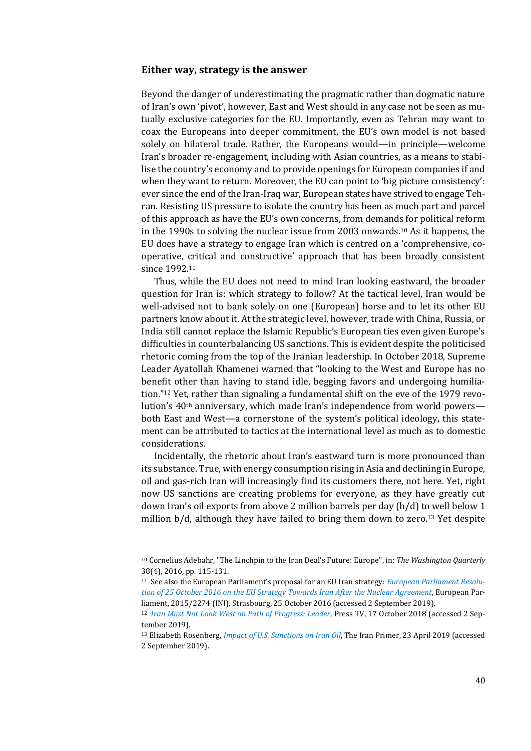### **Either way, strategy is the answer**

Beyond the danger of underestimating the pragmatic rather than dogmatic nature of Iran's own 'pivot', however, East and West should in any case not be seen as mutually exclusive categories for the EU. Importantly, even as Tehran may want to coax the Europeans into deeper commitment, the EU's own model is not based solely on bilateral trade. Rather, the Europeans would—in principle—welcome Iran's broader re-engagement, including with Asian countries, as a means to stabilise the country's economy and to provide openings for European companies if and when they want to return. Moreover, the EU can point to 'big picture consistency': ever since the end of the Iran-Iraq war, European states have strived to engage Tehran. Resisting US pressure to isolate the country has been as much part and parcel of this approach as have the EU's own concerns, from demands for political reform in the 1990s to solving the nuclear issue from 2003 onwards.<sup>10</sup> As it happens, the EU does have a strategy to engage Iran which is centred on a 'comprehensive, cooperative, critical and constructive' approach that has been broadly consistent since 1992.<sup>11</sup>

Thus, while the EU does not need to mind Iran looking eastward, the broader question for Iran is: which strategy to follow? At the tactical level, Iran would be well-advised not to bank solely on one (European) horse and to let its other EU partners know about it. At the strategic level, however, trade with China, Russia, or India still cannot replace the Islamic Republic's European ties even given Europe's difficulties in counterbalancing US sanctions. This is evident despite the politicised rhetoric coming from the top of the Iranian leadership. In October 2018, Supreme Leader Ayatollah Khamenei warned that "looking to the West and Europe has no benefit other than having to stand idle, begging favors and undergoing humiliation."<sup>12</sup> Yet, rather than signaling a fundamental shift on the eve of the 1979 revolution's  $40<sup>th</sup>$  anniversary, which made Iran's independence from world powers both East and West—a cornerstone of the system's political ideology, this statement can be attributed to tactics at the international level as much as to domestic considerations.

Incidentally, the rhetoric about Iran's eastward turn is more pronounced than its substance. True, with energy consumption rising in Asia and declining in Europe, oil and gas-rich Iran will increasingly find its customers there, not here. Yet, right now US sanctions are creating problems for everyone, as they have greatly cut down Iran's oil exports from above 2 million barrels per day (b/d) to well below 1 million  $b/d$ , although they have failed to bring them down to zero.<sup>13</sup> Yet despite

<sup>10</sup> Cornelius Adebahr, "The Linchpin to the Iran Deal's Future: Europe", in: *The Washington Quarterly* 38(4), 2016, pp. 115-131.

<sup>11</sup> See also the European Parliament's proposal for an EU Iran strategy: *[European Parliament Resolu](https://www.europarl.europa.eu/doceo/document/TA-8-2016-0402_EN.html)[tion of 25 October 2016 on the EU Strategy Towards Iran After the Nuclear Agreement](https://www.europarl.europa.eu/doceo/document/TA-8-2016-0402_EN.html)*, European Parliament, 2015/2274 (INI), Strasbourg, 25 October 2016 (accessed 2 September 2019).

<sup>12</sup> *[Iran Must Not Look West on Path of Progress: Leader](https://www.presstv.com/Detail/2018/10/17/577249/Iran-Leader-Ayatollah-Khamenei)*, Press TV, 17 October 2018 (accessed 2 September 2019).

<sup>13</sup> Elizabeth Rosenberg, *[Impact of U.S. Sanctions on Iran Oil](https://iranprimer.usip.org/blog/2019/apr/23/impact-us-sanctions-iran-oil)*, The Iran Primer, 23 April 2019 (accessed 2 September 2019).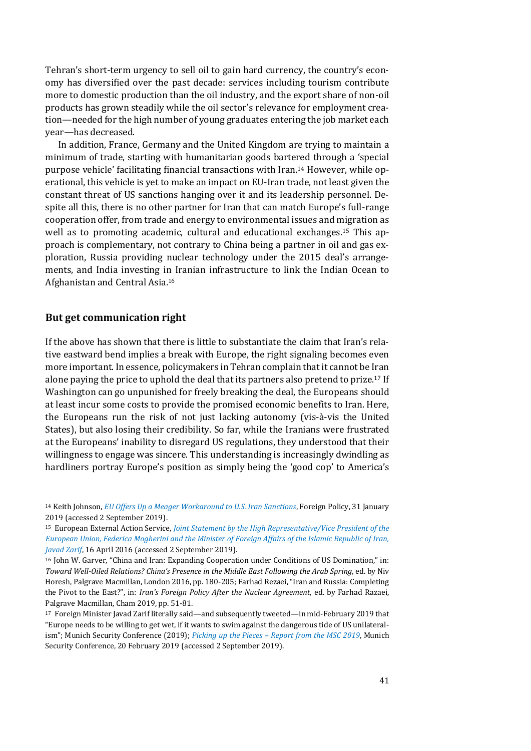Tehran's short-term urgency to sell oil to gain hard currency, the country's economy has diversified over the past decade: services including tourism contribute more to domestic production than the oil industry, and the export share of non-oil products has grown steadily while the oil sector's relevance for employment creation—needed for the high number of young graduates entering the job market each year—has decreased.

In addition, France, Germany and the United Kingdom are trying to maintain a minimum of trade, starting with humanitarian goods bartered through a 'special purpose vehicle' facilitating financial transactions with Iran.<sup>14</sup> However, while operational, this vehicle is yet to make an impact on EU-Iran trade, not least given the constant threat of US sanctions hanging over it and its leadership personnel. Despite all this, there is no other partner for Iran that can match Europe's full-range cooperation offer, from trade and energy to environmental issues and migration as well as to promoting academic, cultural and educational exchanges.<sup>15</sup> This approach is complementary, not contrary to China being a partner in oil and gas exploration, Russia providing nuclear technology under the 2015 deal's arrangements, and India investing in Iranian infrastructure to link the Indian Ocean to Afghanistan and Central Asia.<sup>16</sup>

### **But get communication right**

If the above has shown that there is little to substantiate the claim that Iran's relative eastward bend implies a break with Europe, the right signaling becomes even more important. In essence, policymakers in Tehran complain that it cannot be Iran alone paying the price to uphold the deal that its partners also pretend to prize.<sup>17</sup> If Washington can go unpunished for freely breaking the deal, the Europeans should at least incur some costs to provide the promised economic benefits to Iran. Here, the Europeans run the risk of not just lacking autonomy (vis-à-vis the United States), but also losing their credibility. So far, while the Iranians were frustrated at the Europeans' inability to disregard US regulations, they understood that their willingness to engage was sincere. This understanding is increasingly dwindling as hardliners portray Europe's position as simply being the 'good cop' to America's

<sup>14</sup> Keith Johnson, *[EU Offers Up a Meager Workaround to U.S. Iran Sanctions](https://foreignpolicy.com/2019/01/31/eu-offers-up-a-meager-work-around-to-u-s-iran-sanctions-spv-instex/)*, Foreign Policy, 31 January 2019 (accessed 2 September 2019).

<sup>15</sup> European External Action Service, *[Joint Statement by the High Representative/Vice President of the](https://eeas.europa.eu/headquarters/headquarters-homepage/2877/joint-statement-high-representativevice-president-european-union-federica-mogherini-and_en)  [European Union, Federica Mogherini and the Minister of Foreign Affairs of the Islamic Republic of Iran,](https://eeas.europa.eu/headquarters/headquarters-homepage/2877/joint-statement-high-representativevice-president-european-union-federica-mogherini-and_en)  [Javad Zarif](https://eeas.europa.eu/headquarters/headquarters-homepage/2877/joint-statement-high-representativevice-president-european-union-federica-mogherini-and_en)*, 16 April 2016 (accessed 2 September 2019).

<sup>16</sup> John W. Garver, "China and Iran: Expanding Cooperation under Conditions of US Domination," in: *Toward Well-Oiled Relations? China's Presence in the Middle East Following the Arab Spring*, ed. by Niv Horesh, Palgrave Macmillan, London 2016, pp. 180-205; Farhad Rezaei, "Iran and Russia: Completing the Pivot to the East?", in: *Iran's Foreign Policy After the Nuclear Agreement*, ed. by Farhad Razaei, Palgrave Macmillan, Cham 2019, pp. 51-81.

<sup>17</sup> Foreign Minister Javad Zarif literally said—and subsequently tweeted—in mid-February 2019 that "Europe needs to be willing to get wet, if it wants to swim against the dangerous tide of US unilateralism"; Munich Security Conference (2019); *Picking up the Pieces – [Report from the MSC 2019](https://securityconference.org/en/news/full/picking-up-the-pieces-report-from-the-msc-2019/)*, Munich Security Conference, 20 February 2019 (accessed 2 September 2019).